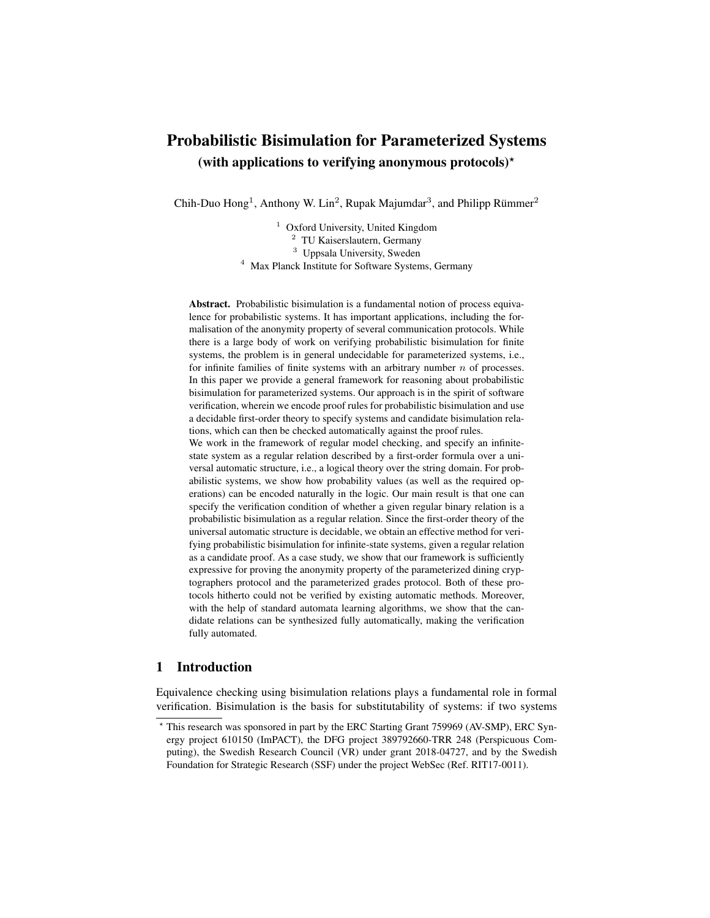# Probabilistic Bisimulation for Parameterized Systems (with applications to verifying anonymous protocols)<sup>\*</sup>

Chih-Duo Hong<sup>1</sup>, Anthony W. Lin<sup>2</sup>, Rupak Majumdar<sup>3</sup>, and Philipp Rümmer<sup>2</sup>

<sup>1</sup> Oxford University, United Kingdom <sup>2</sup> TU Kaiserslautern, Germany <sup>3</sup> Uppsala University, Sweden <sup>4</sup> Max Planck Institute for Software Systems, Germany

Abstract. Probabilistic bisimulation is a fundamental notion of process equivalence for probabilistic systems. It has important applications, including the formalisation of the anonymity property of several communication protocols. While there is a large body of work on verifying probabilistic bisimulation for finite systems, the problem is in general undecidable for parameterized systems, i.e., for infinite families of finite systems with an arbitrary number  $n$  of processes. In this paper we provide a general framework for reasoning about probabilistic bisimulation for parameterized systems. Our approach is in the spirit of software verification, wherein we encode proof rules for probabilistic bisimulation and use a decidable first-order theory to specify systems and candidate bisimulation relations, which can then be checked automatically against the proof rules. We work in the framework of regular model checking, and specify an infinitestate system as a regular relation described by a first-order formula over a universal automatic structure, i.e., a logical theory over the string domain. For probabilistic systems, we show how probability values (as well as the required operations) can be encoded naturally in the logic. Our main result is that one can specify the verification condition of whether a given regular binary relation is a probabilistic bisimulation as a regular relation. Since the first-order theory of the universal automatic structure is decidable, we obtain an effective method for verifying probabilistic bisimulation for infinite-state systems, given a regular relation as a candidate proof. As a case study, we show that our framework is sufficiently expressive for proving the anonymity property of the parameterized dining cryptographers protocol and the parameterized grades protocol. Both of these protocols hitherto could not be verified by existing automatic methods. Moreover, with the help of standard automata learning algorithms, we show that the can-

# 1 Introduction

fully automated.

Equivalence checking using bisimulation relations plays a fundamental role in formal verification. Bisimulation is the basis for substitutability of systems: if two systems

didate relations can be synthesized fully automatically, making the verification

<sup>?</sup> This research was sponsored in part by the ERC Starting Grant 759969 (AV-SMP), ERC Synergy project 610150 (ImPACT), the DFG project 389792660-TRR 248 (Perspicuous Computing), the Swedish Research Council (VR) under grant 2018-04727, and by the Swedish Foundation for Strategic Research (SSF) under the project WebSec (Ref. RIT17-0011).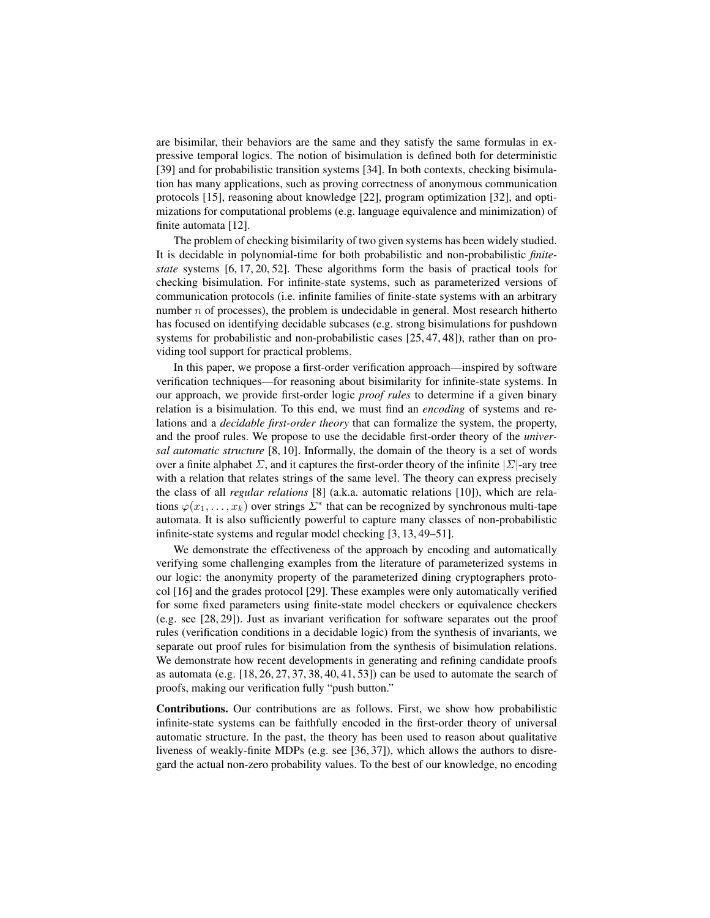are bisimilar, their behaviors are the same and they satisfy the same formulas in expressive temporal logics. The notion of bisimulation is defined both for deterministic [39] and for probabilistic transition systems [34]. In both contexts, checking bisimulation has many applications, such as proving correctness of anonymous communication protocols [15], reasoning about knowledge [22], program optimization [32], and optimizations for computational problems (e.g. language equivalence and minimization) of finite automata [12].

The problem of checking bisimilarity of two given systems has been widely studied. It is decidable in polynomial-time for both probabilistic and non-probabilistic *finitestate* systems [6, 17, 20, 52]. These algorithms form the basis of practical tools for checking bisimulation. For infinite-state systems, such as parameterized versions of communication protocols (i.e. infinite families of finite-state systems with an arbitrary number  $n$  of processes), the problem is undecidable in general. Most research hitherto has focused on identifying decidable subcases (e.g. strong bisimulations for pushdown systems for probabilistic and non-probabilistic cases [25, 47, 48]), rather than on providing tool support for practical problems.

In this paper, we propose a first-order verification approach—inspired by software verification techniques—for reasoning about bisimilarity for infinite-state systems. In our approach, we provide first-order logic *proof rules* to determine if a given binary relation is a bisimulation. To this end, we must find an *encoding* of systems and relations and a *decidable first-order theory* that can formalize the system, the property, and the proof rules. We propose to use the decidable first-order theory of the *universal automatic structure* [8, 10]. Informally, the domain of the theory is a set of words over a finite alphabet  $\Sigma$ , and it captures the first-order theory of the infinite  $|\Sigma|$ -ary tree with a relation that relates strings of the same level. The theory can express precisely the class of all *regular relations* [8] (a.k.a. automatic relations [10]), which are relations  $\varphi(x_1, \ldots, x_k)$  over strings  $\Sigma^*$  that can be recognized by synchronous multi-tape automata. It is also sufficiently powerful to capture many classes of non-probabilistic infinite-state systems and regular model checking [3, 13, 49–51].

We demonstrate the effectiveness of the approach by encoding and automatically verifying some challenging examples from the literature of parameterized systems in our logic: the anonymity property of the parameterized dining cryptographers protocol [16] and the grades protocol [29]. These examples were only automatically verified for some fixed parameters using finite-state model checkers or equivalence checkers (e.g. see [28, 29]). Just as invariant verification for software separates out the proof rules (verification conditions in a decidable logic) from the synthesis of invariants, we separate out proof rules for bisimulation from the synthesis of bisimulation relations. We demonstrate how recent developments in generating and refining candidate proofs as automata (e.g.  $[18, 26, 27, 37, 38, 40, 41, 53]$ ) can be used to automate the search of proofs, making our verification fully "push button."

Contributions. Our contributions are as follows. First, we show how probabilistic infinite-state systems can be faithfully encoded in the first-order theory of universal automatic structure. In the past, the theory has been used to reason about qualitative liveness of weakly-finite MDPs (e.g. see [36, 37]), which allows the authors to disregard the actual non-zero probability values. To the best of our knowledge, no encoding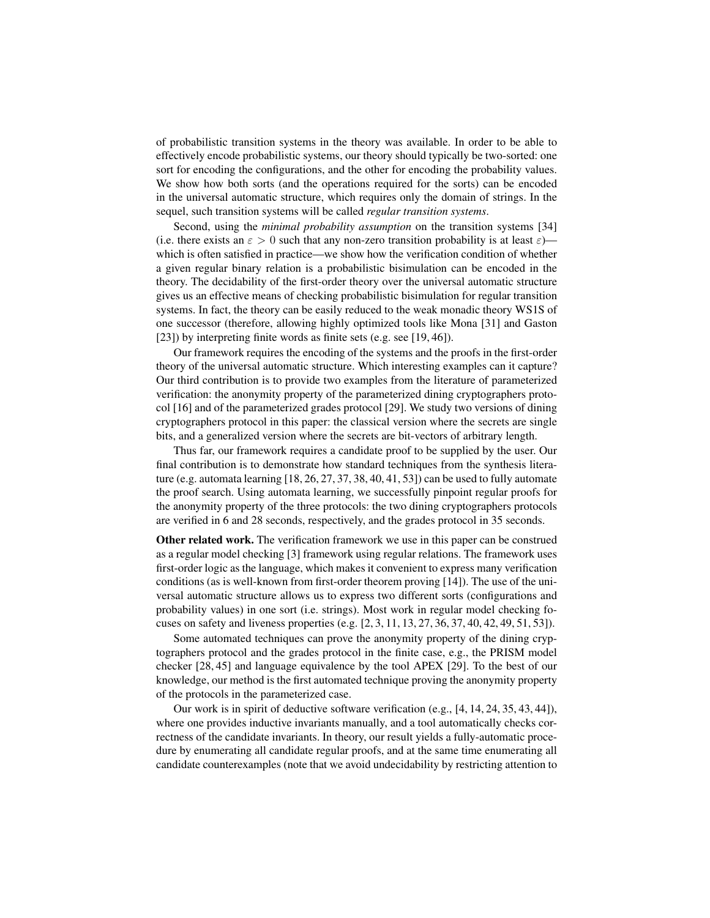of probabilistic transition systems in the theory was available. In order to be able to effectively encode probabilistic systems, our theory should typically be two-sorted: one sort for encoding the configurations, and the other for encoding the probability values. We show how both sorts (and the operations required for the sorts) can be encoded in the universal automatic structure, which requires only the domain of strings. In the sequel, such transition systems will be called *regular transition systems*.

Second, using the *minimal probability assumption* on the transition systems [34] (i.e. there exists an  $\varepsilon > 0$  such that any non-zero transition probability is at least  $\varepsilon$ ) which is often satisfied in practice—we show how the verification condition of whether a given regular binary relation is a probabilistic bisimulation can be encoded in the theory. The decidability of the first-order theory over the universal automatic structure gives us an effective means of checking probabilistic bisimulation for regular transition systems. In fact, the theory can be easily reduced to the weak monadic theory WS1S of one successor (therefore, allowing highly optimized tools like Mona [31] and Gaston [23]) by interpreting finite words as finite sets (e.g. see [19, 46]).

Our framework requires the encoding of the systems and the proofs in the first-order theory of the universal automatic structure. Which interesting examples can it capture? Our third contribution is to provide two examples from the literature of parameterized verification: the anonymity property of the parameterized dining cryptographers protocol [16] and of the parameterized grades protocol [29]. We study two versions of dining cryptographers protocol in this paper: the classical version where the secrets are single bits, and a generalized version where the secrets are bit-vectors of arbitrary length.

Thus far, our framework requires a candidate proof to be supplied by the user. Our final contribution is to demonstrate how standard techniques from the synthesis literature (e.g. automata learning [18, 26, 27, 37, 38, 40, 41, 53]) can be used to fully automate the proof search. Using automata learning, we successfully pinpoint regular proofs for the anonymity property of the three protocols: the two dining cryptographers protocols are verified in 6 and 28 seconds, respectively, and the grades protocol in 35 seconds.

Other related work. The verification framework we use in this paper can be construed as a regular model checking [3] framework using regular relations. The framework uses first-order logic as the language, which makes it convenient to express many verification conditions (as is well-known from first-order theorem proving [14]). The use of the universal automatic structure allows us to express two different sorts (configurations and probability values) in one sort (i.e. strings). Most work in regular model checking focuses on safety and liveness properties (e.g. [2, 3, 11, 13, 27, 36, 37, 40, 42, 49, 51, 53]).

Some automated techniques can prove the anonymity property of the dining cryptographers protocol and the grades protocol in the finite case, e.g., the PRISM model checker [28, 45] and language equivalence by the tool APEX [29]. To the best of our knowledge, our method is the first automated technique proving the anonymity property of the protocols in the parameterized case.

Our work is in spirit of deductive software verification (e.g., [4, 14, 24, 35, 43, 44]), where one provides inductive invariants manually, and a tool automatically checks correctness of the candidate invariants. In theory, our result yields a fully-automatic procedure by enumerating all candidate regular proofs, and at the same time enumerating all candidate counterexamples (note that we avoid undecidability by restricting attention to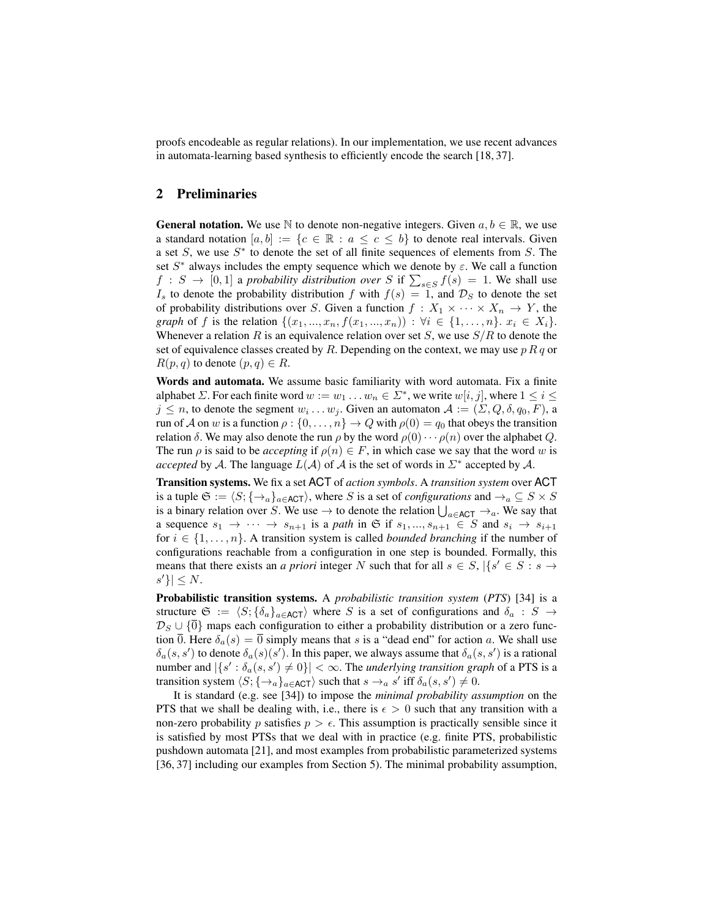proofs encodeable as regular relations). In our implementation, we use recent advances in automata-learning based synthesis to efficiently encode the search [18, 37].

# 2 Preliminaries

**General notation.** We use  $\mathbb N$  to denote non-negative integers. Given  $a, b \in \mathbb R$ , we use a standard notation  $[a, b] := \{c \in \mathbb{R} : a \leq c \leq b\}$  to denote real intervals. Given a set  $S$ , we use  $S^*$  to denote the set of all finite sequences of elements from  $S$ . The set  $S^*$  always includes the empty sequence which we denote by  $\varepsilon$ . We call a function  $f : S \to [0,1]$  a *probability distribution over* S if  $\sum_{s \in S} f(s) = 1$ . We shall use  $I_s$  to denote the probability distribution f with  $f(s) = 1$ , and  $\mathcal{D}_s$  to denote the set of probability distributions over S. Given a function  $f: X_1 \times \cdots \times X_n \to Y$ , the *graph* of f is the relation  $\{(x_1, ..., x_n, f(x_1, ..., x_n)) : \forall i \in \{1, ..., n\}$ .  $x_i \in X_i\}$ . Whenever a relation R is an equivalence relation over set S, we use  $S/R$  to denote the set of equivalence classes created by R. Depending on the context, we may use  $p R q$  or  $R(p,q)$  to denote  $(p,q) \in R$ .

Words and automata. We assume basic familiarity with word automata. Fix a finite alphabet  $\Sigma$ . For each finite word  $w := w_1 \dots w_n \in \Sigma^*$ , we write  $w[i, j]$ , where  $1 \le i \le n$  $j \leq n$ , to denote the segment  $w_i \dots w_j$ . Given an automaton  $\mathcal{A} := (\mathcal{Z}, Q, \delta, q_0, F)$ , a run of A on w is a function  $\rho : \{0, \ldots, n\} \to Q$  with  $\rho(0) = q_0$  that obeys the transition relation  $\delta$ . We may also denote the run  $\rho$  by the word  $\rho(0) \cdots \rho(n)$  over the alphabet Q. The run  $\rho$  is said to be *accepting* if  $\rho(n) \in F$ , in which case we say that the word w is *accepted* by A. The language  $L(A)$  of A is the set of words in  $\mathbb{Z}^*$  accepted by A.

Transition systems. We fix a set ACT of *action symbols*. A *transition system* over ACT is a tuple  $\mathfrak{S} := \langle S; \{\rightarrow_a\}_{a \in \mathsf{ACT}}\rangle$ , where S is a set of *configurations* and  $\rightarrow_a \subseteq S \times S$ is a binary relation over S. We use  $\rightarrow$  to denote the relation  $\bigcup_{a \in \mathsf{ACT}} \rightarrow_a$ . We say that a sequence  $s_1 \rightarrow \cdots \rightarrow s_{n+1}$  is a *path* in G if  $s_1, ..., s_{n+1} \in S$  and  $s_i \rightarrow s_{i+1}$ for  $i \in \{1, \ldots, n\}$ . A transition system is called *bounded branching* if the number of configurations reachable from a configuration in one step is bounded. Formally, this means that there exists an *a priori* integer N such that for all  $s \in S$ ,  $|{s' \in S : s \rightarrow s}$  $s'\}| \leq N.$ 

Probabilistic transition systems. A *probabilistic transition system* (*PTS*) [34] is a structure  $\mathfrak{S} := \langle S; \{\delta_a\}_{a \in \text{ACT}}\rangle$  where S is a set of configurations and  $\delta_a : S \to$  $\mathcal{D}_S \cup \{\overline{0}\}\$  maps each configuration to either a probability distribution or a zero function  $\overline{0}$ . Here  $\delta_a(s) = \overline{0}$  simply means that s is a "dead end" for action a. We shall use  $\delta_a(s, s')$  to denote  $\delta_a(s)(s')$ . In this paper, we always assume that  $\delta_a(s, s')$  is a rational number and  $|\{s' : \delta_a(s, s') \neq 0\}| < \infty$ . The *underlying transition graph* of a PTS is a transition system  $\langle S; \{\rightarrow_a\}_{a \in \text{ACT}} \rangle$  such that  $s \rightarrow_a s'$  iff  $\delta_a(s, s') \neq 0$ .

It is standard (e.g. see [34]) to impose the *minimal probability assumption* on the PTS that we shall be dealing with, i.e., there is  $\epsilon > 0$  such that any transition with a non-zero probability p satisfies  $p > \epsilon$ . This assumption is practically sensible since it is satisfied by most PTSs that we deal with in practice (e.g. finite PTS, probabilistic pushdown automata [21], and most examples from probabilistic parameterized systems [36, 37] including our examples from Section 5). The minimal probability assumption,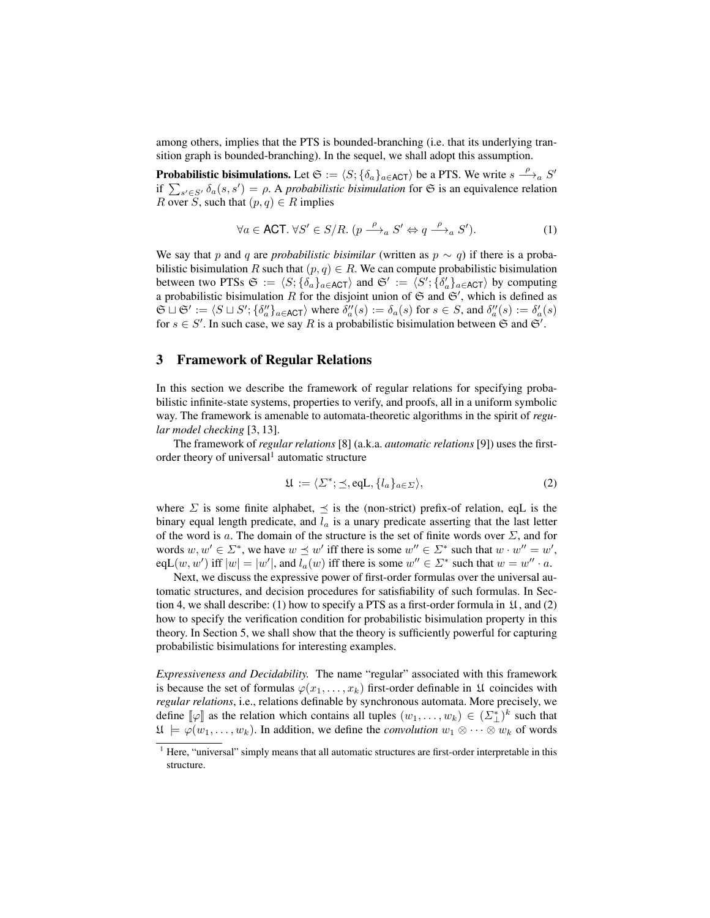among others, implies that the PTS is bounded-branching (i.e. that its underlying transition graph is bounded-branching). In the sequel, we shall adopt this assumption.

**Probabilistic bisimulations.** Let  $\mathfrak{S} := \langle S; \{\delta_a\}_{a \in \text{ACT}}\rangle$  be a PTS. We write  $s \stackrel{\rho}{\longrightarrow}_a S'$ if  $\sum_{s' \in S'} \delta_a(s, s') = \rho$ . A *probabilistic bisimulation* for  $\mathfrak{S}$  is an equivalence relation R over S, such that  $(p, q) \in R$  implies

$$
\forall a \in \text{ACT. } \forall S' \in S/R. \ (p \xrightarrow{\rho}{}_{a} S' \Leftrightarrow q \xrightarrow{\rho}{}_{a} S'). \tag{1}
$$

We say that p and q are *probabilistic bisimilar* (written as  $p \sim q$ ) if there is a probabilistic bisimulation R such that  $(p, q) \in R$ . We can compute probabilistic bisimulation between two PTSs  $\mathfrak{S} := \langle S; \{\delta_a\}_{a \in \text{ACT}}\rangle$  and  $\mathfrak{S}' := \langle S'; \{\delta'_a\}_{a \in \text{ACT}}\rangle$  by computing a probabilistic bisimulation R for the disjoint union of  $\mathfrak S$  and  $\mathfrak S'$ , which is defined as  $\mathfrak{S} \sqcup \mathfrak{S}' := \langle S \sqcup S'; \{\delta''_a\}_{a \in \mathsf{ACT}}\rangle$  where  $\delta''_a(s) := \delta_a(s)$  for  $s \in S$ , and  $\delta''_a(s) := \delta'_a(s)$ for  $s \in S'$ . In such case, we say R is a probabilistic bisimulation between  $\mathfrak{S}$  and  $\mathfrak{S}'$ .

#### 3 Framework of Regular Relations

In this section we describe the framework of regular relations for specifying probabilistic infinite-state systems, properties to verify, and proofs, all in a uniform symbolic way. The framework is amenable to automata-theoretic algorithms in the spirit of *regular model checking* [3, 13].

The framework of *regular relations* [8] (a.k.a. *automatic relations* [9]) uses the firstorder theory of universal<sup>1</sup> automatic structure

$$
\mathfrak{U} := \langle \Sigma^*; \preceq, \text{eqL}, \{l_a\}_{a \in \Sigma} \rangle,
$$
\n(2)

where  $\Sigma$  is some finite alphabet,  $\preceq$  is the (non-strict) prefix-of relation, eqL is the binary equal length predicate, and  $l_a$  is a unary predicate asserting that the last letter of the word is a. The domain of the structure is the set of finite words over  $\Sigma$ , and for words  $w, w' \in \Sigma^*$ , we have  $w \preceq w'$  iff there is some  $w'' \in \Sigma^*$  such that  $w \cdot w'' = w'$ , eqL $(w, w')$  iff  $|w| = |w'|$ , and  $l_a(w)$  iff there is some  $w'' \in \Sigma^*$  such that  $w = w'' \cdot a$ .

Next, we discuss the expressive power of first-order formulas over the universal automatic structures, and decision procedures for satisfiability of such formulas. In Section 4, we shall describe: (1) how to specify a PTS as a first-order formula in  $\mathfrak{U}$ , and (2) how to specify the verification condition for probabilistic bisimulation property in this theory. In Section 5, we shall show that the theory is sufficiently powerful for capturing probabilistic bisimulations for interesting examples.

*Expressiveness and Decidability.* The name "regular" associated with this framework is because the set of formulas  $\varphi(x_1, \ldots, x_k)$  first-order definable in  $\mathfrak U$  coincides with *regular relations*, i.e., relations definable by synchronous automata. More precisely, we define  $[\![\varphi]\!]$  as the relation which contains all tuples  $(w_1, \ldots, w_k) \in (\Sigma_{\perp}^*)^k$  such that  $\mathfrak{U} \models \varphi(w_1, \ldots, w_k)$ . In addition, we define the *convolution*  $w_1 \otimes \cdots \otimes w_k$  of words

<sup>&</sup>lt;sup>1</sup> Here, "universal" simply means that all automatic structures are first-order interpretable in this structure.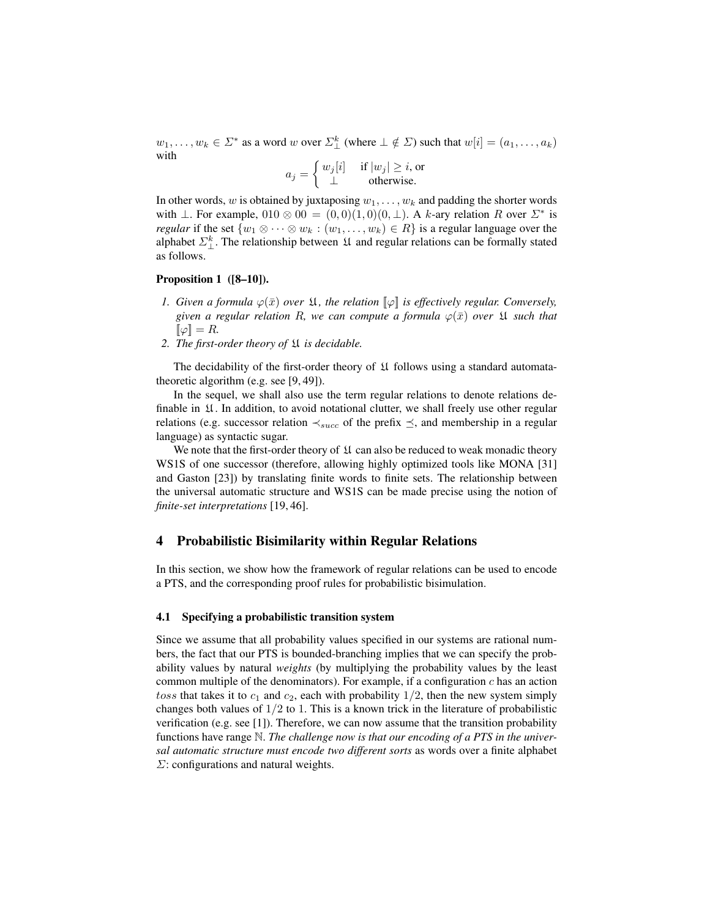$w_1, \ldots, w_k \in \Sigma^*$  as a word w over  $\Sigma^k_{\perp}$  (where  $\perp \notin \Sigma$ ) such that  $w[i] = (a_1, \ldots, a_k)$ with

$$
a_j = \begin{cases} w_j[i] & \text{if } |w_j| \ge i \text{, or} \\ \perp & \text{otherwise.} \end{cases}
$$

In other words, w is obtained by juxtaposing  $w_1, \ldots, w_k$  and padding the shorter words with  $\perp$ . For example, 010  $\otimes$  00 =  $(0,0)(1,0)(0,\perp)$ . A k-ary relation R over  $\Sigma^*$  is *regular* if the set  $\{w_1 \otimes \cdots \otimes w_k : (w_1, \ldots, w_k) \in R\}$  is a regular language over the alphabet  $\Sigma_{\perp}^k$ . The relationship between  $\mathfrak U$  and regular relations can be formally stated as follows.

#### Proposition 1 ([8–10]).

- *1.* Given a formula  $\varphi(\bar{x})$  over  $\mathfrak{U}$ , the relation  $\lVert \varphi \rVert$  is effectively regular. Conversely, *given a regular relation R, we can compute a formula*  $\varphi(\bar{x})$  *over*  $\mathfrak{U}$  *such that*  $[\![\varphi]\!]=R.$
- 2. The first-order theory of  $\mathfrak U$  is decidable.

The decidability of the first-order theory of  $\mathfrak U$  follows using a standard automatatheoretic algorithm (e.g. see [9, 49]).

In the sequel, we shall also use the term regular relations to denote relations definable in  $\mathfrak U$ . In addition, to avoid notational clutter, we shall freely use other regular relations (e.g. successor relation  $\prec_{succ}$  of the prefix  $\preceq$ , and membership in a regular language) as syntactic sugar.

We note that the first-order theory of  $\mathfrak U$  can also be reduced to weak monadic theory WS1S of one successor (therefore, allowing highly optimized tools like MONA [31] and Gaston [23]) by translating finite words to finite sets. The relationship between the universal automatic structure and WS1S can be made precise using the notion of *finite-set interpretations* [19, 46].

# 4 Probabilistic Bisimilarity within Regular Relations

In this section, we show how the framework of regular relations can be used to encode a PTS, and the corresponding proof rules for probabilistic bisimulation.

#### 4.1 Specifying a probabilistic transition system

Since we assume that all probability values specified in our systems are rational numbers, the fact that our PTS is bounded-branching implies that we can specify the probability values by natural *weights* (by multiplying the probability values by the least common multiple of the denominators). For example, if a configuration  $c$  has an action toss that takes it to  $c_1$  and  $c_2$ , each with probability  $1/2$ , then the new system simply changes both values of  $1/2$  to 1. This is a known trick in the literature of probabilistic verification (e.g. see [1]). Therefore, we can now assume that the transition probability functions have range N. *The challenge now is that our encoding of a PTS in the universal automatic structure must encode two different sorts* as words over a finite alphabet  $\Sigma$ : configurations and natural weights.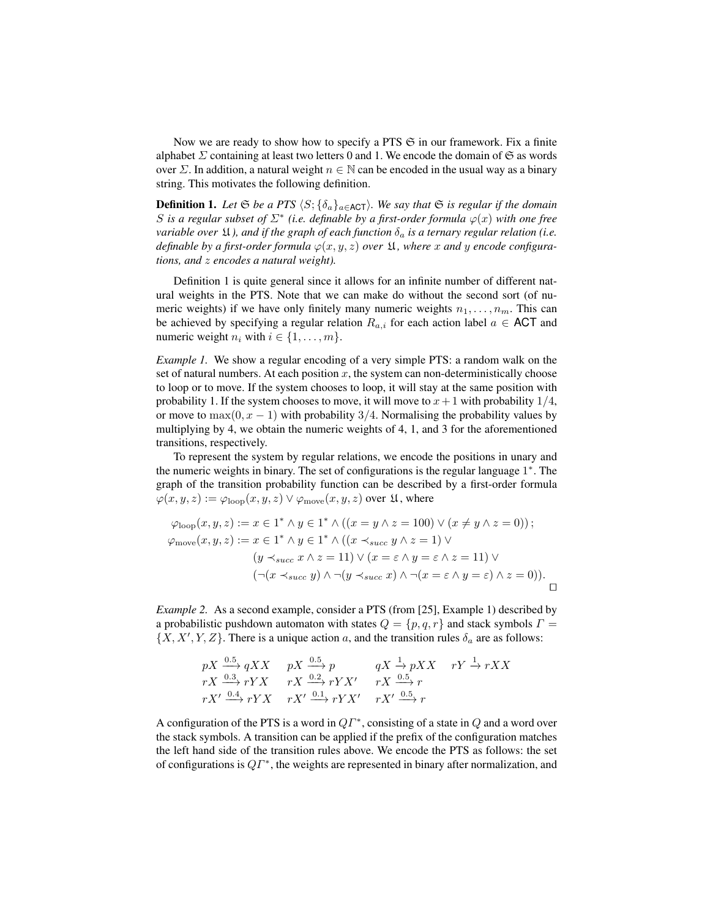Now we are ready to show how to specify a PTS  $\mathfrak S$  in our framework. Fix a finite alphabet  $\Sigma$  containing at least two letters 0 and 1. We encode the domain of  $\mathfrak S$  as words over  $\Sigma$ . In addition, a natural weight  $n \in \mathbb{N}$  can be encoded in the usual way as a binary string. This motivates the following definition.

**Definition 1.** Let  $\mathfrak{S}$  be a PTS  $\langle S; \{\delta_a\}_{a \in \text{ACT}}\rangle$ . We say that  $\mathfrak{S}$  is regular if the domain S is a regular subset of  $\Sigma^*$  (i.e. definable by a first-order formula  $\varphi(x)$  with one free *variable over*  $\mathfrak{U}$ *), and if the graph of each function*  $\delta_a$  *is a ternary regular relation* (*i.e. definable by a first-order formula*  $\varphi(x, y, z)$  *over*  $\mathfrak{U}$ *, where* x *and* y encode configura*tions, and* z *encodes a natural weight).*

Definition 1 is quite general since it allows for an infinite number of different natural weights in the PTS. Note that we can make do without the second sort (of numeric weights) if we have only finitely many numeric weights  $n_1, \ldots, n_m$ . This can be achieved by specifying a regular relation  $R_{a,i}$  for each action label  $a \in \text{ACT}$  and numeric weight  $n_i$  with  $i \in \{1, \ldots, m\}$ .

*Example 1.* We show a regular encoding of a very simple PTS: a random walk on the set of natural numbers. At each position  $x$ , the system can non-deterministically choose to loop or to move. If the system chooses to loop, it will stay at the same position with probability 1. If the system chooses to move, it will move to  $x + 1$  with probability  $1/4$ , or move to  $\max(0, x - 1)$  with probability 3/4. Normalising the probability values by multiplying by 4, we obtain the numeric weights of 4, 1, and 3 for the aforementioned transitions, respectively.

To represent the system by regular relations, we encode the positions in unary and the numeric weights in binary. The set of configurations is the regular language 1\*. The graph of the transition probability function can be described by a first-order formula  $\varphi(x, y, z) := \varphi_{\text{loop}}(x, y, z) \vee \varphi_{\text{move}}(x, y, z)$  over  $\mathfrak{U}$ , where

$$
\varphi_{\text{loop}}(x, y, z) := x \in 1^* \land y \in 1^* \land ((x = y \land z = 100) \lor (x \neq y \land z = 0));
$$
  

$$
\varphi_{\text{move}}(x, y, z) := x \in 1^* \land y \in 1^* \land ((x \prec_{succ} y \land z = 1) \lor
$$
  

$$
(y \prec_{succ} x \land z = 11) \lor (x = \varepsilon \land y = \varepsilon \land z = 11) \lor
$$
  

$$
(\neg(x \prec_{succ} y) \land \neg(y \prec_{succ} x) \land \neg(x = \varepsilon \land y = \varepsilon) \land z = 0)).
$$

*Example 2.* As a second example, consider a PTS (from [25], Example 1) described by a probabilistic pushdown automaton with states  $Q = \{p, q, r\}$  and stack symbols  $\Gamma =$  $\{X, X', Y, Z\}$ . There is a unique action a, and the transition rules  $\delta_a$  are as follows:

$$
pX \xrightarrow{0.5} qXX \t pX \xrightarrow{0.5} p \t qX \xrightarrow{1} pXX \t rY \xrightarrow{1} rXX
$$
  
\n
$$
rX \xrightarrow{0.3} rYX \t rX \xrightarrow{0.2} rYX' \t rX \xrightarrow{0.5} r
$$
  
\n
$$
rX' \xrightarrow{0.4} rYX \t rX' \xrightarrow{0.1} rYX' \t rX' \xrightarrow{0.5} r
$$

A configuration of the PTS is a word in  $Q\Gamma^*$ , consisting of a state in  $Q$  and a word over the stack symbols. A transition can be applied if the prefix of the configuration matches the left hand side of the transition rules above. We encode the PTS as follows: the set of configurations is  $Q\Gamma^*$ , the weights are represented in binary after normalization, and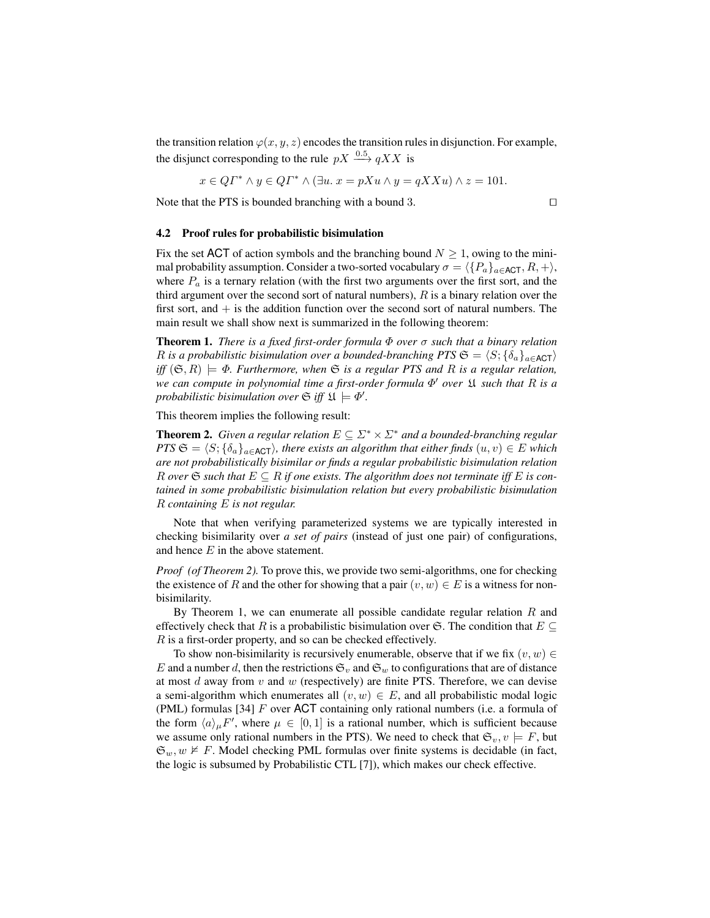the transition relation  $\varphi(x, y, z)$  encodes the transition rules in disjunction. For example, the disjunct corresponding to the rule  $pX \stackrel{0.5}{\longrightarrow} qXX$  is

$$
x \in Q\Gamma^* \land y \in Q\Gamma^* \land (\exists u. x = pXu \land y = qXXu) \land z = 101.
$$

Note that the PTS is bounded branching with a bound 3.  $\Box$ 

#### 4.2 Proof rules for probabilistic bisimulation

Fix the set ACT of action symbols and the branching bound  $N > 1$ , owing to the minimal probability assumption. Consider a two-sorted vocabulary  $\sigma = \langle \{P_a\}_{a \in \text{ACT}}, R, +\rangle$ , where  $P_a$  is a ternary relation (with the first two arguments over the first sort, and the third argument over the second sort of natural numbers),  $R$  is a binary relation over the first sort, and  $+$  is the addition function over the second sort of natural numbers. The main result we shall show next is summarized in the following theorem:

Theorem 1. *There is a fixed first-order formula* Φ *over* σ *such that a binary relation* R is a probabilistic bisimulation over a bounded-branching PTS  $\mathfrak{S} = \langle S; \{\delta_a\}_{a \in \text{ACT}}\rangle$  $iff(\mathfrak{S}, R) \models \Phi$ . Furthermore, when  $\mathfrak S$  *is a regular PTS and* R *is a regular relation*, *we can compute in polynomial time a first-order formula* Φ <sup>0</sup> *over* U *such that* R *is a probabilistic bisimulation over*  $\mathfrak{S}$  *iff*  $\mathfrak{U} \models \Phi'.$ 

This theorem implies the following result:

**Theorem 2.** *Given a regular relation*  $E \subseteq \Sigma^* \times \Sigma^*$  *and a bounded-branching regular PTS*  $\mathfrak{S} = \langle S; \{\delta_a\}_{a \in \text{ACT}}\rangle$ *, there exists an algorithm that either finds*  $(u, v) \in E$  *which are not probabilistically bisimilar or finds a regular probabilistic bisimulation relation* R over  $\mathfrak{S}$  such that  $E \subseteq R$  if one exists. The algorithm does not terminate iff E is con*tained in some probabilistic bisimulation relation but every probabilistic bisimulation* R *containing* E *is not regular.*

Note that when verifying parameterized systems we are typically interested in checking bisimilarity over *a set of pairs* (instead of just one pair) of configurations, and hence  $E$  in the above statement.

*Proof (of Theorem 2).* To prove this, we provide two semi-algorithms, one for checking the existence of R and the other for showing that a pair  $(v, w) \in E$  is a witness for nonbisimilarity.

By Theorem 1, we can enumerate all possible candidate regular relation  $R$  and effectively check that R is a probabilistic bisimulation over G. The condition that  $E \subseteq$ R is a first-order property, and so can be checked effectively.

To show non-bisimilarity is recursively enumerable, observe that if we fix  $(v, w) \in$ E and a number d, then the restrictions  $\mathfrak{S}_v$  and  $\mathfrak{S}_w$  to configurations that are of distance at most  $d$  away from  $v$  and  $w$  (respectively) are finite PTS. Therefore, we can devise a semi-algorithm which enumerates all  $(v, w) \in E$ , and all probabilistic modal logic (PML) formulas [34]  $F$  over ACT containing only rational numbers (i.e. a formula of the form  $\langle a \rangle_{\mu} F'$ , where  $\mu \in [0, 1]$  is a rational number, which is sufficient because we assume only rational numbers in the PTS). We need to check that  $\mathfrak{S}_v, v \models F$ , but  $\mathfrak{S}_w, w \not\models F$ . Model checking PML formulas over finite systems is decidable (in fact, the logic is subsumed by Probabilistic CTL [7]), which makes our check effective.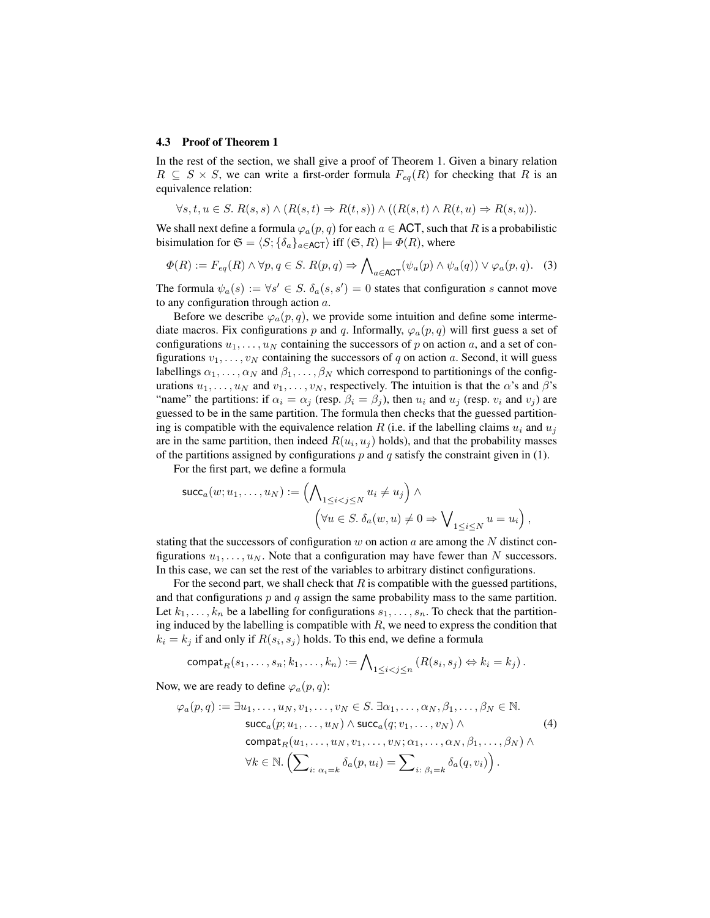#### 4.3 Proof of Theorem 1

In the rest of the section, we shall give a proof of Theorem 1. Given a binary relation  $R \subseteq S \times S$ , we can write a first-order formula  $F_{eq}(R)$  for checking that R is an equivalence relation:

$$
\forall s, t, u \in S. \ R(s, s) \land (R(s, t) \Rightarrow R(t, s)) \land ((R(s, t) \land R(t, u) \Rightarrow R(s, u)).
$$

We shall next define a formula  $\varphi_a(p,q)$  for each  $a \in$  ACT, such that R is a probabilistic bisimulation for  $\mathfrak{S} = \langle S; \{\delta_a\}_{a \in \text{ACT}}\rangle$  iff  $(\mathfrak{S}, R) \models \Phi(R)$ , where

$$
\Phi(R) := F_{eq}(R) \land \forall p, q \in S. \ R(p,q) \Rightarrow \bigwedge_{a \in \mathsf{ACT}} (\psi_a(p) \land \psi_a(q)) \lor \varphi_a(p,q). \tag{3}
$$

The formula  $\psi_a(s) := \forall s' \in S$ .  $\delta_a(s, s') = 0$  states that configuration s cannot move to any configuration through action  $a$ .

Before we describe  $\varphi_a(p,q)$ , we provide some intuition and define some intermediate macros. Fix configurations p and q. Informally,  $\varphi_a(p,q)$  will first guess a set of configurations  $u_1, \ldots, u_N$  containing the successors of p on action a, and a set of configurations  $v_1, \ldots, v_N$  containing the successors of q on action a. Second, it will guess labellings  $\alpha_1, \ldots, \alpha_N$  and  $\beta_1, \ldots, \beta_N$  which correspond to partitionings of the configurations  $u_1, \ldots, u_N$  and  $v_1, \ldots, v_N$ , respectively. The intuition is that the  $\alpha$ 's and  $\beta$ 's "name" the partitions: if  $\alpha_i = \alpha_j$  (resp.  $\beta_i = \beta_j$ ), then  $u_i$  and  $u_j$  (resp.  $v_i$  and  $v_j$ ) are guessed to be in the same partition. The formula then checks that the guessed partitioning is compatible with the equivalence relation R (i.e. if the labelling claims  $u_i$  and  $u_j$ are in the same partition, then indeed  $R(u_i, u_j)$  holds), and that the probability masses of the partitions assigned by configurations p and q satisfy the constraint given in (1).

For the first part, we define a formula

$$
\text{succ}_a(w; u_1, \dots, u_N) := \left( \bigwedge_{1 \le i < j \le N} u_i \neq u_j \right) \land \left( \forall u \in S. \ \delta_a(w, u) \neq 0 \Rightarrow \bigvee_{1 \le i \le N} u = u_i \right),
$$

stating that the successors of configuration  $w$  on action  $a$  are among the  $N$  distinct configurations  $u_1, \ldots, u_N$ . Note that a configuration may have fewer than N successors. In this case, we can set the rest of the variables to arbitrary distinct configurations.

For the second part, we shall check that  $R$  is compatible with the guessed partitions, and that configurations  $p$  and  $q$  assign the same probability mass to the same partition. Let  $k_1, \ldots, k_n$  be a labelling for configurations  $s_1, \ldots, s_n$ . To check that the partitioning induced by the labelling is compatible with  $R$ , we need to express the condition that  $k_i = k_j$  if and only if  $R(s_i, s_j)$  holds. To this end, we define a formula

$$
\operatorname{compat}_R(s_1,\ldots,s_n;k_1,\ldots,k_n):=\bigwedge\nolimits_{1\leq i
$$

Now, we are ready to define  $\varphi_a(p,q)$ :

$$
\varphi_a(p,q) := \exists u_1, \dots, u_N, v_1, \dots, v_N \in S. \ \exists \alpha_1, \dots, \alpha_N, \beta_1, \dots, \beta_N \in \mathbb{N}.
$$
  
\n
$$
\mathsf{succ}_a(p; u_1, \dots, u_N) \land \mathsf{succ}_a(q; v_1, \dots, v_N) \land
$$
  
\n
$$
\mathsf{compat}_R(u_1, \dots, u_N, v_1, \dots, v_N; \alpha_1, \dots, \alpha_N, \beta_1, \dots, \beta_N) \land
$$
  
\n
$$
\forall k \in \mathbb{N}. \left( \sum_{i: \ \alpha_i = k} \delta_a(p, u_i) = \sum_{i: \ \beta_i = k} \delta_a(q, v_i) \right).
$$
 (4)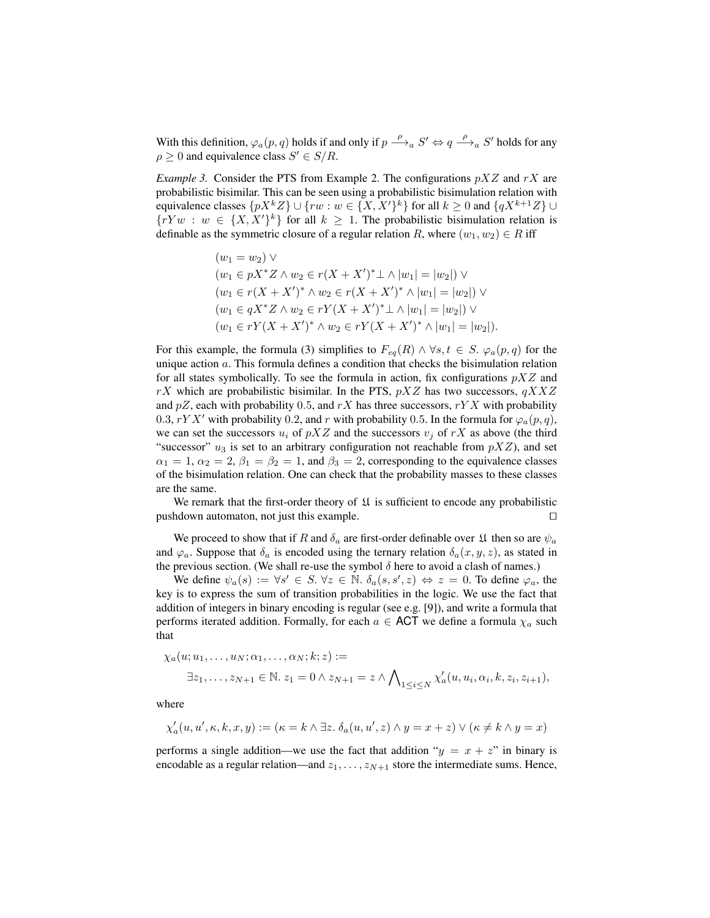With this definition,  $\varphi_a(p,q)$  holds if and only if  $p \stackrel{\rho}{\longrightarrow}_a S' \Leftrightarrow q \stackrel{\rho}{\longrightarrow}_a S'$  holds for any  $\rho \geq 0$  and equivalence class  $S' \in S/R$ .

*Example 3.* Consider the PTS from Example 2. The configurations  $pXZ$  and  $rX$  are probabilistic bisimilar. This can be seen using a probabilistic bisimulation relation with equivalence classes  $\{pX^kZ\} \cup \{rw : w \in \{X, X'\}^k\}$  for all  $k \geq 0$  and  $\{qX^{k+1}Z\} \cup$  ${rYw : w \in \{X, X'\}^k\}$  for all  $k \geq 1$ . The probabilistic bisimulation relation is definable as the symmetric closure of a regular relation R, where  $(w_1, w_2) \in R$  iff

$$
(w_1 = w_2) \vee
$$
  
\n
$$
(w_1 \in pX^*Z \wedge w_2 \in r(X + X')^* \perp \wedge |w_1| = |w_2|) \vee
$$
  
\n
$$
(w_1 \in r(X + X')^* \wedge w_2 \in r(X + X')^* \wedge |w_1| = |w_2|) \vee
$$
  
\n
$$
(w_1 \in qX^*Z \wedge w_2 \in rY(X + X')^* \perp \wedge |w_1| = |w_2|) \vee
$$
  
\n
$$
(w_1 \in rY(X + X')^* \wedge w_2 \in rY(X + X')^* \wedge |w_1| = |w_2|).
$$

For this example, the formula (3) simplifies to  $F_{eq}(R) \wedge \forall s, t \in S$ .  $\varphi_a(p,q)$  for the unique action a. This formula defines a condition that checks the bisimulation relation for all states symbolically. To see the formula in action, fix configurations  $pXZ$  and  $rX$  which are probabilistic bisimilar. In the PTS,  $pXZ$  has two successors,  $qXXZ$ and  $pZ$ , each with probability 0.5, and  $rX$  has three successors,  $rYX$  with probability 0.3, rY X' with probability 0.2, and r with probability 0.5. In the formula for  $\varphi_a(p,q)$ , we can set the successors  $u_i$  of  $pXZ$  and the successors  $v_j$  of  $rX$  as above (the third "successor"  $u_3$  is set to an arbitrary configuration not reachable from  $pXZ$ ), and set  $\alpha_1 = 1, \alpha_2 = 2, \beta_1 = \beta_2 = 1, \text{ and } \beta_3 = 2, \text{ corresponding to the equivalence classes}$ of the bisimulation relation. One can check that the probability masses to these classes are the same.

We remark that the first-order theory of  $\mathfrak U$  is sufficient to encode any probabilistic pushdown automaton, not just this example.  $\Box$ 

We proceed to show that if R and  $\delta_a$  are first-order definable over  $\mathfrak U$  then so are  $\psi_a$ and  $\varphi_a$ . Suppose that  $\delta_a$  is encoded using the ternary relation  $\delta_a(x, y, z)$ , as stated in the previous section. (We shall re-use the symbol  $\delta$  here to avoid a clash of names.)

We define  $\psi_a(s) := \forall s' \in S$ .  $\forall z \in \mathbb{N}$ .  $\delta_a(s, s', z) \Leftrightarrow z = 0$ . To define  $\varphi_a$ , the key is to express the sum of transition probabilities in the logic. We use the fact that addition of integers in binary encoding is regular (see e.g. [9]), and write a formula that performs iterated addition. Formally, for each  $a \in$  ACT we define a formula  $\chi_a$  such that

$$
\chi_a(u; u_1,\ldots,u_N;\alpha_1,\ldots,\alpha_N;k;z) :=
$$
  

$$
\exists z_1,\ldots,z_{N+1} \in \mathbb{N}. \ z_1 = 0 \land z_{N+1} = z \land \bigwedge_{1 \leq i \leq N} \chi'_a(u,u_i,\alpha_i,k,z_i,z_{i+1}),
$$

where

$$
\chi'_a(u,u',\kappa,k,x,y):=(\kappa=k \land \exists z. \; \delta_a(u,u',z) \land y=x+z) \lor (\kappa \neq k \land y=x)
$$

performs a single addition—we use the fact that addition " $y = x + z$ " in binary is encodable as a regular relation—and  $z_1, \ldots, z_{N+1}$  store the intermediate sums. Hence,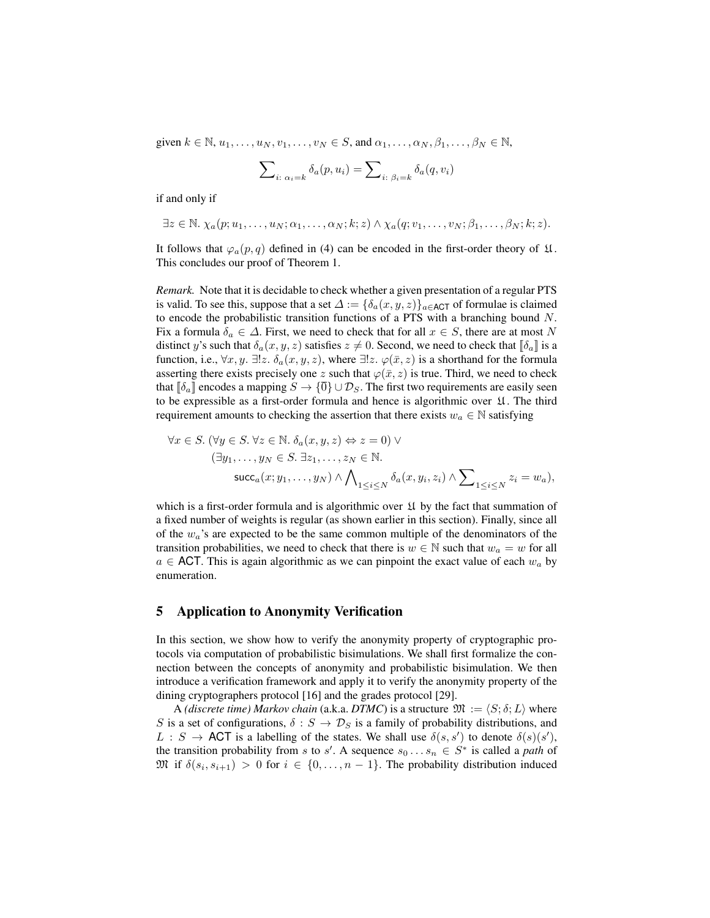given  $k \in \mathbb{N}, u_1, \dots, u_N, v_1, \dots, v_N \in S$ , and  $\alpha_1, \dots, \alpha_N, \beta_1, \dots, \beta_N \in \mathbb{N}$ ,

$$
\sum_{i: \alpha_i = k} \delta_a(p, u_i) = \sum_{i: \beta_i = k} \delta_a(q, v_i)
$$

if and only if

 $\exists z \in \mathbb{N}. \chi_a(p; u_1, \ldots, u_N; \alpha_1, \ldots, \alpha_N; k; z) \wedge \chi_a(q; v_1, \ldots, v_N; \beta_1, \ldots, \beta_N; k; z).$ 

It follows that  $\varphi_a(p,q)$  defined in (4) can be encoded in the first-order theory of  $\mathfrak U$ . This concludes our proof of Theorem 1.

*Remark.* Note that it is decidable to check whether a given presentation of a regular PTS is valid. To see this, suppose that a set  $\Delta := {\delta_a(x, y, z)}_{a \in A \subset \Gamma}$  of formulae is claimed to encode the probabilistic transition functions of a PTS with a branching bound N. Fix a formula  $\delta_a \in \Delta$ . First, we need to check that for all  $x \in S$ , there are at most N distinct y's such that  $\delta_a(x, y, z)$  satisfies  $z \neq 0$ . Second, we need to check that  $[\![\delta_a]\!]$  is a function, i.e.,  $\forall x, y$ .  $\exists ! z. \delta_a(x, y, z)$ , where  $\exists ! z. \varphi(\bar{x}, z)$  is a shorthand for the formula asserting there exists precisely one z such that  $\varphi(\bar{x}, z)$  is true. Third, we need to check that  $[\![\delta_a]\!]$  encodes a mapping  $S \to \{\overline{0}\} \cup \mathcal{D}_S$ . The first two requirements are easily seen to be expressible as a first-order formula and hence is algorithmic over  $\mathfrak U$ . The third requirement amounts to checking the assertion that there exists  $w_a \in \mathbb{N}$  satisfying

$$
\forall x \in S. \ (\forall y \in S. \ \forall z \in \mathbb{N}. \ \delta_a(x, y, z) \Leftrightarrow z = 0) \ \lor \ \ (\exists y_1, \dots, y_N \in S. \ \exists z_1, \dots, z_N \in \mathbb{N}. \ \operatorname{succ}_a(x; y_1, \dots, y_N) \land \bigwedge_{1 \leq i \leq N} \delta_a(x, y_i, z_i) \land \sum_{1 \leq i \leq N} z_i = w_a),
$$

which is a first-order formula and is algorithmic over  $\mathfrak U$  by the fact that summation of a fixed number of weights is regular (as shown earlier in this section). Finally, since all of the  $w_a$ 's are expected to be the same common multiple of the denominators of the transition probabilities, we need to check that there is  $w \in \mathbb{N}$  such that  $w_a = w$  for all  $a \in$  ACT. This is again algorithmic as we can pinpoint the exact value of each  $w_a$  by enumeration.

# 5 Application to Anonymity Verification

In this section, we show how to verify the anonymity property of cryptographic protocols via computation of probabilistic bisimulations. We shall first formalize the connection between the concepts of anonymity and probabilistic bisimulation. We then introduce a verification framework and apply it to verify the anonymity property of the dining cryptographers protocol [16] and the grades protocol [29].

A *(discrete time) Markov chain* (a.k.a. *DTMC*) is a structure  $\mathfrak{M} := \langle S; \delta; L \rangle$  where S is a set of configurations,  $\delta : S \to \mathcal{D}_S$  is a family of probability distributions, and  $L : S \to$  ACT is a labelling of the states. We shall use  $\delta(s, s')$  to denote  $\delta(s)(s')$ , the transition probability from s to s'. A sequence  $s_0 \dots s_n \in S^*$  is called a *path* of  $\mathfrak{M}$  if  $\delta(s_i, s_{i+1}) > 0$  for  $i \in \{0, \ldots, n-1\}$ . The probability distribution induced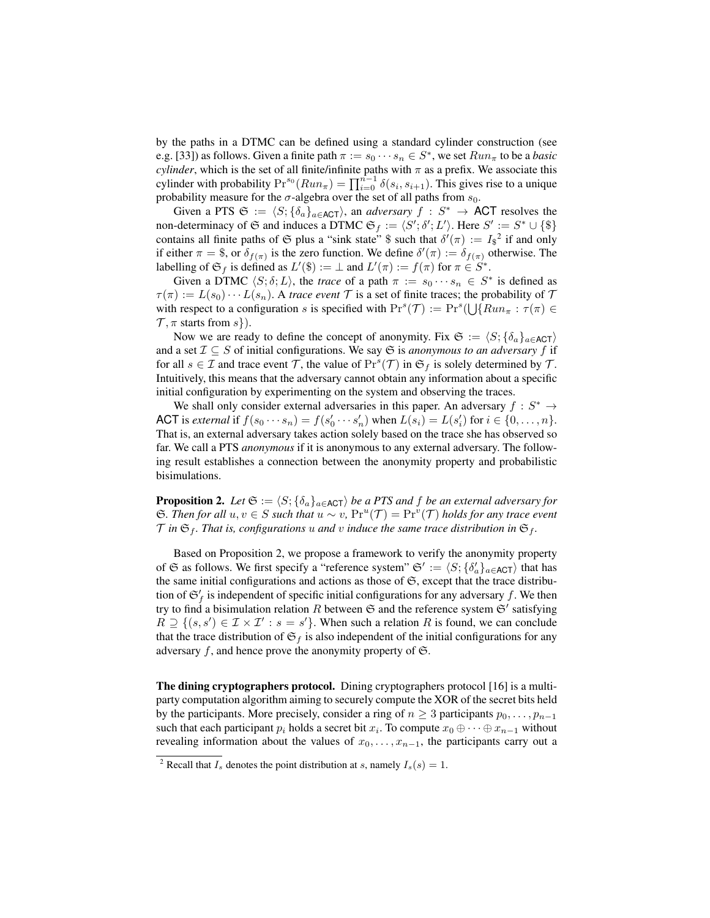by the paths in a DTMC can be defined using a standard cylinder construction (see e.g. [33]) as follows. Given a finite path  $\pi := s_0 \cdots s_n \in S^*$ , we set  $Run_{\pi}$  to be a *basic cylinder*, which is the set of all finite/infinite paths with  $\pi$  as a prefix. We associate this cylinder with probability  $Pr^{s_0}(Run_\pi) = \prod_{i=0}^{n-1} \delta(s_i, s_{i+1})$ . This gives rise to a unique probability measure for the  $\sigma$ -algebra over the set of all paths from  $s_0$ .

Given a PTS  $\mathfrak{S} := \langle S; \{\delta_a\}_{a \in \text{ACT}}\rangle$ , an *adversary*  $f : S^* \to \text{ACT}$  resolves the non-determinacy of G and induces a DTMC  $\mathfrak{S}_f := \langle S', \delta', L' \rangle$ . Here  $S' := S^* \cup \{\$\}$ contains all finite paths of G plus a "sink state"  $\frac{1}{2}$  such that  $\delta'(\pi) := I_{\frac{1}{2}}^2$  if and only if either  $\pi = \$$ , or  $\delta_{f(\pi)}$  is the zero function. We define  $\delta'(\pi) := \delta_{f(\pi)}$  otherwise. The labelling of  $\mathfrak{S}_f$  is defined as  $L'(\mathfrak{F}) := \perp$  and  $L'(\pi) := f(\pi)$  for  $\pi \in S^*$ .

Given a DTMC  $\langle S; \delta; L \rangle$ , the *trace* of a path  $\pi := s_0 \cdots s_n \in S^*$  is defined as  $\tau(\pi) := L(s_0) \cdots L(s_n)$ . A *trace event*  $\mathcal T$  is a set of finite traces; the probability of  $\mathcal T$ with respect to a configuration s is specified with  $Pr<sup>s</sup>(T) := Pr<sup>s</sup>(\bigcup \{Run_{\pi} : \tau(\pi) \in$  $\mathcal{T}, \pi$  starts from  $s$ .

Now we are ready to define the concept of anonymity. Fix  $\mathfrak{S} := \langle S; \{\delta_a\}_{a \in \mathsf{ACT}}\rangle$ and a set  $\mathcal{I} \subseteq S$  of initial configurations. We say  $\mathfrak{S}$  is *anonymous to an adversary* f if for all  $s \in \mathcal{I}$  and trace event  $\mathcal{T}$ , the value of  $\Pr^s(\mathcal{T})$  in  $\mathfrak{S}_f$  is solely determined by  $\mathcal{T}$ . Intuitively, this means that the adversary cannot obtain any information about a specific initial configuration by experimenting on the system and observing the traces.

We shall only consider external adversaries in this paper. An adversary  $f : S^* \to$ ACT is *external* if  $f(s_0 \cdots s_n) = f(s'_0 \cdots s'_n)$  when  $L(s_i) = L(s'_i)$  for  $i \in \{0, \ldots, n\}$ . That is, an external adversary takes action solely based on the trace she has observed so far. We call a PTS *anonymous* if it is anonymous to any external adversary. The following result establishes a connection between the anonymity property and probabilistic bisimulations.

**Proposition 2.** Let  $\mathfrak{S} := \langle S; \{\delta_a\}_{a \in \mathsf{ACT}}\rangle$  *be a PTS and f be an external adversary for*  $\mathfrak{S}.$  Then for all  $u, v \in S$  such that  $u \sim v$ ,  $\Pr^u(\mathcal{T}) = \Pr^v(\mathcal{T})$  holds for any trace event  $\mathcal{T}$  *in*  $\mathfrak{S}_f$ *. That is, configurations* u *and* v *induce the same trace distribution* in  $\mathfrak{S}_f$ *.* 

Based on Proposition 2, we propose a framework to verify the anonymity property of G as follows. We first specify a "reference system"  $\mathfrak{S}' := \langle S; \{\delta'_a\}_{a \in \mathsf{ACT}}\rangle$  that has the same initial configurations and actions as those of  $\mathfrak{S}$ , except that the trace distribution of  $\mathfrak{S}'_f$  is independent of specific initial configurations for any adversary f. We then try to find a bisimulation relation R between  $\mathfrak S$  and the reference system  $\mathfrak S'$  satisfying  $R \supseteq \{ (s, s') \in \mathcal{I} \times \mathcal{I}' : s = s' \}.$  When such a relation R is found, we can conclude that the trace distribution of  $\mathfrak{S}_f$  is also independent of the initial configurations for any adversary  $f$ , and hence prove the anonymity property of  $\mathfrak{S}$ .

The dining cryptographers protocol. Dining cryptographers protocol [16] is a multiparty computation algorithm aiming to securely compute the XOR of the secret bits held by the participants. More precisely, consider a ring of  $n \geq 3$  participants  $p_0, \ldots, p_{n-1}$ such that each participant  $p_i$  holds a secret bit  $x_i$ . To compute  $x_0 \oplus \cdots \oplus x_{n-1}$  without revealing information about the values of  $x_0, \ldots, x_{n-1}$ , the participants carry out a

<sup>&</sup>lt;sup>2</sup> Recall that  $I_s$  denotes the point distribution at s, namely  $I_s(s) = 1$ .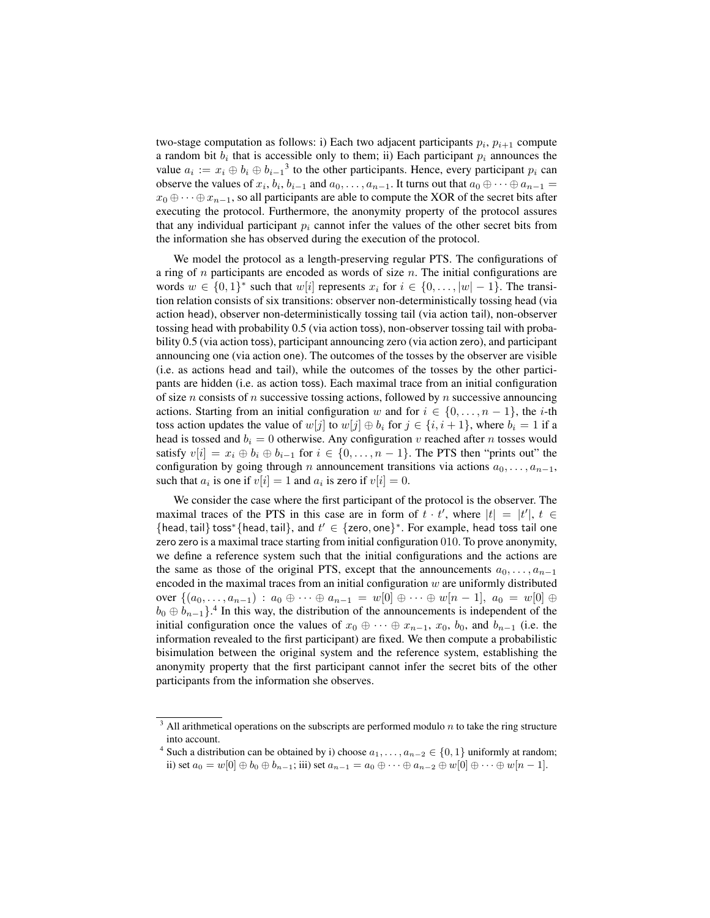two-stage computation as follows: i) Each two adjacent participants  $p_i$ ,  $p_{i+1}$  compute a random bit  $b_i$  that is accessible only to them; ii) Each participant  $p_i$  announces the value  $a_i := x_i \oplus b_i \oplus b_{i-1}^3$  to the other participants. Hence, every participant  $p_i$  can observe the values of  $x_i, b_i, b_{i-1}$  and  $a_0, \ldots, a_{n-1}$ . It turns out that  $a_0 \oplus \cdots \oplus a_{n-1} =$  $x_0 \oplus \cdots \oplus x_{n-1}$ , so all participants are able to compute the XOR of the secret bits after executing the protocol. Furthermore, the anonymity property of the protocol assures that any individual participant  $p_i$  cannot infer the values of the other secret bits from the information she has observed during the execution of the protocol.

We model the protocol as a length-preserving regular PTS. The configurations of a ring of  $n$  participants are encoded as words of size  $n$ . The initial configurations are words  $w \in \{0,1\}^*$  such that  $w[i]$  represents  $x_i$  for  $i \in \{0,\ldots, |w|-1\}$ . The transition relation consists of six transitions: observer non-deterministically tossing head (via action head), observer non-deterministically tossing tail (via action tail), non-observer tossing head with probability 0.5 (via action toss), non-observer tossing tail with probability 0.5 (via action toss), participant announcing zero (via action zero), and participant announcing one (via action one). The outcomes of the tosses by the observer are visible (i.e. as actions head and tail), while the outcomes of the tosses by the other participants are hidden (i.e. as action toss). Each maximal trace from an initial configuration of size n consists of n successive tossing actions, followed by n successive announcing actions. Starting from an initial configuration w and for  $i \in \{0, \ldots, n-1\}$ , the *i*-th toss action updates the value of w[j] to w[j]  $\oplus b_i$  for  $j \in \{i, i+1\}$ , where  $b_i = 1$  if a head is tossed and  $b_i = 0$  otherwise. Any configuration v reached after n tosses would satisfy  $v[i] = x_i \oplus b_i \oplus b_{i-1}$  for  $i \in \{0, \ldots, n-1\}$ . The PTS then "prints out" the configuration by going through *n* announcement transitions via actions  $a_0, \ldots, a_{n-1}$ , such that  $a_i$  is one if  $v[i] = 1$  and  $a_i$  is zero if  $v[i] = 0$ .

We consider the case where the first participant of the protocol is the observer. The maximal traces of the PTS in this case are in form of  $t \cdot t'$ , where  $|t| = |t'|$ ,  $t \in$ {head, tail} toss\* {head, tail}, and  $t' \in \{$  zero, one}\*. For example, head toss tail one zero zero is a maximal trace starting from initial configuration 010. To prove anonymity, we define a reference system such that the initial configurations and the actions are the same as those of the original PTS, except that the announcements  $a_0, \ldots, a_{n-1}$ encoded in the maximal traces from an initial configuration  $w$  are uniformly distributed over  $\{(a_0, \ldots, a_{n-1}) : a_0 \oplus \cdots \oplus a_{n-1} = w[0] \oplus \cdots \oplus w[n-1], a_0 = w[0] \oplus \cdots$  $b_0 \oplus b_{n-1}$ .<sup>4</sup> In this way, the distribution of the announcements is independent of the initial configuration once the values of  $x_0 \oplus \cdots \oplus x_{n-1}$ ,  $x_0$ ,  $b_0$ , and  $b_{n-1}$  (i.e. the information revealed to the first participant) are fixed. We then compute a probabilistic bisimulation between the original system and the reference system, establishing the anonymity property that the first participant cannot infer the secret bits of the other participants from the information she observes.

 $3$  All arithmetical operations on the subscripts are performed modulo  $n$  to take the ring structure into account.

<sup>&</sup>lt;sup>4</sup> Such a distribution can be obtained by i) choose  $a_1, \ldots, a_{n-2} \in \{0, 1\}$  uniformly at random; ii) set  $a_0 = w[0] \oplus b_0 \oplus b_{n-1}$ ; iii) set  $a_{n-1} = a_0 \oplus \cdots \oplus a_{n-2} \oplus w[0] \oplus \cdots \oplus w[n-1]$ .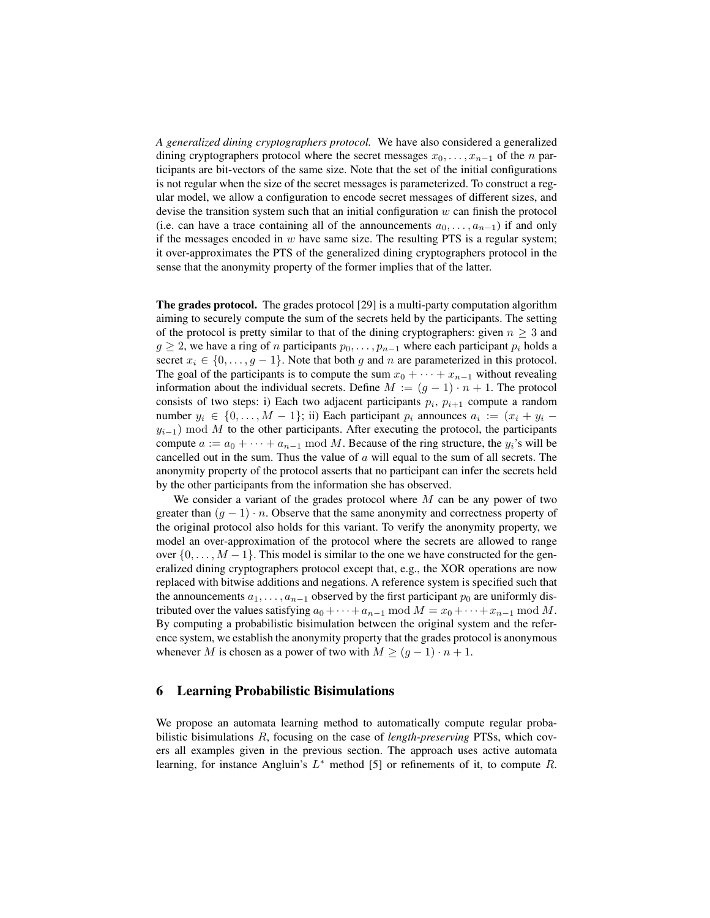*A generalized dining cryptographers protocol.* We have also considered a generalized dining cryptographers protocol where the secret messages  $x_0, \ldots, x_{n-1}$  of the n participants are bit-vectors of the same size. Note that the set of the initial configurations is not regular when the size of the secret messages is parameterized. To construct a regular model, we allow a configuration to encode secret messages of different sizes, and devise the transition system such that an initial configuration  $w$  can finish the protocol (i.e. can have a trace containing all of the announcements  $a_0, \ldots, a_{n-1}$ ) if and only if the messages encoded in  $w$  have same size. The resulting PTS is a regular system; it over-approximates the PTS of the generalized dining cryptographers protocol in the sense that the anonymity property of the former implies that of the latter.

The grades protocol. The grades protocol [29] is a multi-party computation algorithm aiming to securely compute the sum of the secrets held by the participants. The setting of the protocol is pretty similar to that of the dining cryptographers: given  $n \geq 3$  and  $g \ge 2$ , we have a ring of n participants  $p_0, \ldots, p_{n-1}$  where each participant  $p_i$  holds a secret  $x_i \in \{0, \ldots, g-1\}$ . Note that both g and n are parameterized in this protocol. The goal of the participants is to compute the sum  $x_0 + \cdots + x_{n-1}$  without revealing information about the individual secrets. Define  $M := (q - 1) \cdot n + 1$ . The protocol consists of two steps: i) Each two adjacent participants  $p_i$ ,  $p_{i+1}$  compute a random number  $y_i \in \{0, ..., M-1\}$ ; ii) Each participant  $p_i$  announces  $a_i := (x_i + y_i$  $y_{i-1}$ ) mod M to the other participants. After executing the protocol, the participants compute  $a := a_0 + \cdots + a_{n-1} \mod M$ . Because of the ring structure, the  $y_i$ 's will be cancelled out in the sum. Thus the value of  $a$  will equal to the sum of all secrets. The anonymity property of the protocol asserts that no participant can infer the secrets held by the other participants from the information she has observed.

We consider a variant of the grades protocol where  $M$  can be any power of two greater than  $(g - 1) \cdot n$ . Observe that the same anonymity and correctness property of the original protocol also holds for this variant. To verify the anonymity property, we model an over-approximation of the protocol where the secrets are allowed to range over  $\{0, \ldots, M-1\}$ . This model is similar to the one we have constructed for the generalized dining cryptographers protocol except that, e.g., the XOR operations are now replaced with bitwise additions and negations. A reference system is specified such that the announcements  $a_1, \ldots, a_{n-1}$  observed by the first participant  $p_0$  are uniformly distributed over the values satisfying  $a_0 + \cdots + a_{n-1} \mod M = x_0 + \cdots + x_{n-1} \mod M$ . By computing a probabilistic bisimulation between the original system and the reference system, we establish the anonymity property that the grades protocol is anonymous whenever M is chosen as a power of two with  $M \ge (g-1) \cdot n + 1$ .

# 6 Learning Probabilistic Bisimulations

We propose an automata learning method to automatically compute regular probabilistic bisimulations R, focusing on the case of *length-preserving* PTSs, which covers all examples given in the previous section. The approach uses active automata learning, for instance Angluin's  $L^*$  method [5] or refinements of it, to compute R.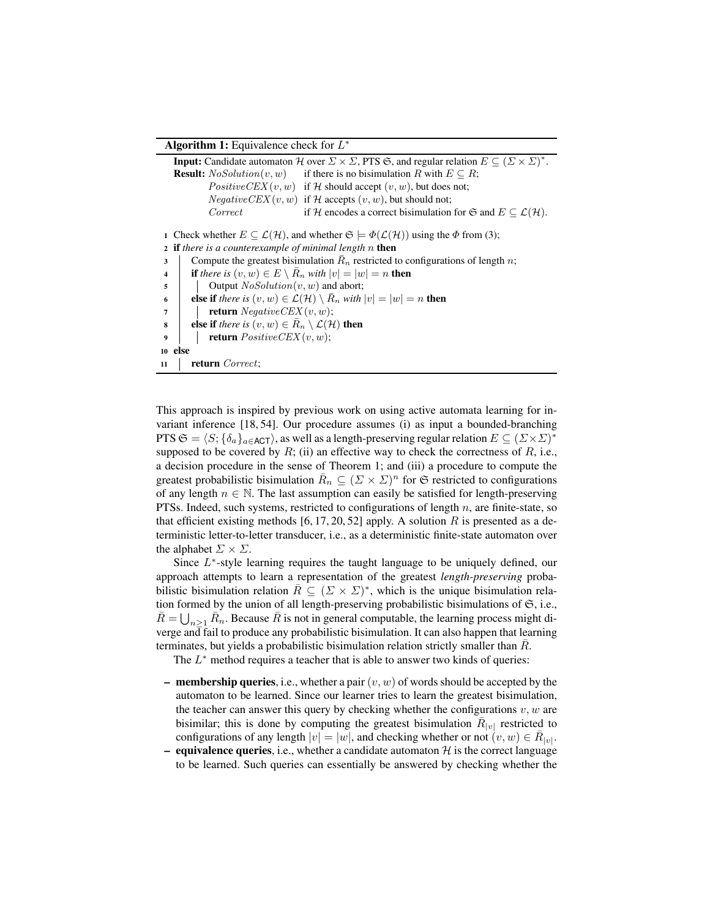Algorithm 1: Equivalence check for  $L^*$ 

**Input:** Candidate automaton H over  $\Sigma \times \Sigma$ , PTS  $\mathfrak{S}$ , and regular relation  $E \subseteq (\Sigma \times \Sigma)^*$ . **Result:**  $NoSolution(v, w)$  if there is no bisimulation R with  $E \subseteq R$ ;  $PositiveCEX(v, w)$  if H should accept  $(v, w)$ , but does not;  $NegativeCEX(v, w)$  if H accepts  $(v, w)$ , but should not; Correct if H encodes a correct bisimulation for  $\mathfrak{S}$  and  $E \subset \mathcal{L}(\mathcal{H})$ . 1 Check whether  $E \subseteq \mathcal{L}(\mathcal{H})$ , and whether  $\mathfrak{S} \models \Phi(\mathcal{L}(\mathcal{H}))$  using the  $\Phi$  from (3); <sup>2</sup> if *there is a counterexample of minimal length* n then 3 Compute the greatest bisimulation  $\overline{R}_n$  restricted to configurations of length n; 4 **if** there is  $(v, w) \in E \setminus \overline{R}_n$  with  $|v| = |w| = n$  then  $\mathfrak{s}$  | Output *NoSolution* $(v, w)$  and abort; 6 **else if** there is  $(v, w) \in \mathcal{L}(\mathcal{H}) \setminus R_n$  with  $|v| = |w| = n$  then 7 | **return**  $NegativeCEX(v, w);$ 8 **else if** there is  $(v, w) \in \overline{R}_n \setminus \mathcal{L}(\mathcal{H})$  then return  $PositiveCEX(v, w);$ <sup>10</sup> else 11 **return** Correct;

This approach is inspired by previous work on using active automata learning for invariant inference [18, 54]. Our procedure assumes (i) as input a bounded-branching PTS  $\mathfrak{S} = \langle S; \{\delta_a\}_{a \in \mathsf{ACT}}\rangle$ , as well as a length-preserving regular relation  $E \subseteq (\Sigma \times \Sigma)^*$ supposed to be covered by  $R$ ; (ii) an effective way to check the correctness of  $R$ , i.e., a decision procedure in the sense of Theorem 1; and (iii) a procedure to compute the greatest probabilistic bisimulation  $\bar{R}_n \subseteq (\Sigma \times \Sigma)^n$  for  $\mathfrak S$  restricted to configurations of any length  $n \in \mathbb{N}$ . The last assumption can easily be satisfied for length-preserving PTSs. Indeed, such systems, restricted to configurations of length  $n$ , are finite-state, so that efficient existing methods  $[6, 17, 20, 52]$  apply. A solution R is presented as a deterministic letter-to-letter transducer, i.e., as a deterministic finite-state automaton over the alphabet  $\Sigma \times \Sigma$ .

Since  $L^*$ -style learning requires the taught language to be uniquely defined, our approach attempts to learn a representation of the greatest *length-preserving* probabilistic bisimulation relation  $\overline{R} \subseteq (\Sigma \times \Sigma)^*$ , which is the unique bisimulation relation formed by the union of all length-preserving probabilistic bisimulations of  $\mathfrak{S}$ , i.e.,  $\bar{R} = \bigcup_{n \geq 1} \bar{R}_n$ . Because  $\bar{R}$  is not in general computable, the learning process might diverge and fail to produce any probabilistic bisimulation. It can also happen that learning terminates, but yields a probabilistic bisimulation relation strictly smaller than  $R$ .

The  $L^*$  method requires a teacher that is able to answer two kinds of queries:

- **membership queries**, i.e., whether a pair  $(v, w)$  of words should be accepted by the automaton to be learned. Since our learner tries to learn the greatest bisimulation, the teacher can answer this query by checking whether the configurations  $v, w$  are bisimilar; this is done by computing the greatest bisimulation  $\overline{R}_{|v|}$  restricted to configurations of any length  $|v| = |w|$ , and checking whether or not  $(v, w) \in \overline{R}_{|v|}$ .
- equivalence queries, i.e., whether a candidate automaton  $H$  is the correct language to be learned. Such queries can essentially be answered by checking whether the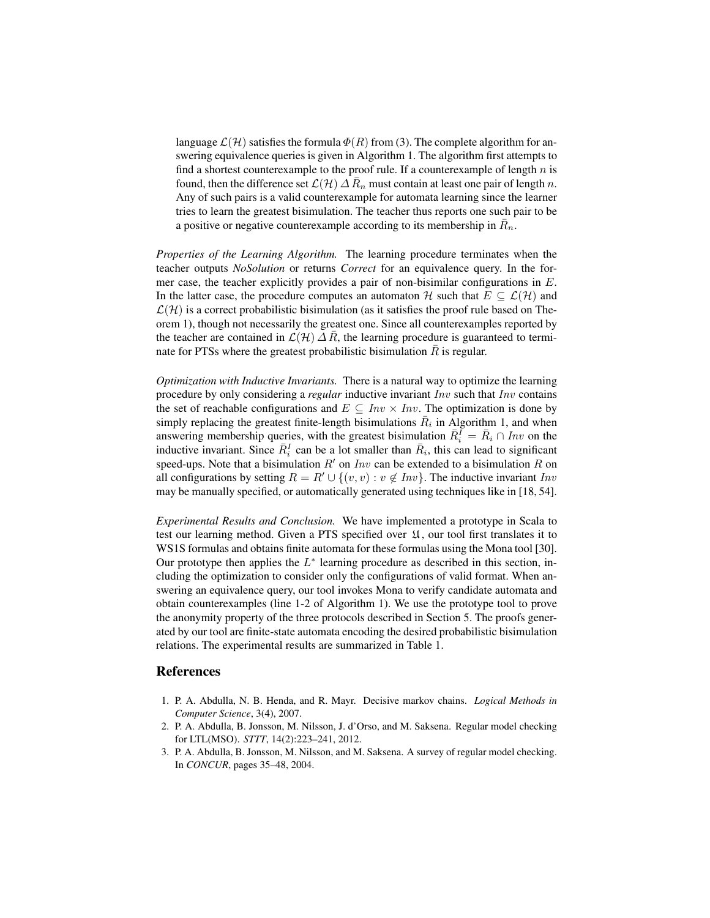language  $\mathcal{L}(\mathcal{H})$  satisfies the formula  $\Phi(R)$  from (3). The complete algorithm for answering equivalence queries is given in Algorithm 1. The algorithm first attempts to find a shortest counterexample to the proof rule. If a counterexample of length  $n$  is found, then the difference set  $\mathcal{L}(\mathcal{H}) \Delta \bar{R}_n$  must contain at least one pair of length n. Any of such pairs is a valid counterexample for automata learning since the learner tries to learn the greatest bisimulation. The teacher thus reports one such pair to be a positive or negative counterexample according to its membership in  $\overline{R}_n$ .

*Properties of the Learning Algorithm.* The learning procedure terminates when the teacher outputs *NoSolution* or returns *Correct* for an equivalence query. In the former case, the teacher explicitly provides a pair of non-bisimilar configurations in E. In the latter case, the procedure computes an automaton H such that  $E \subseteq \mathcal{L}(\mathcal{H})$  and  $\mathcal{L}(\mathcal{H})$  is a correct probabilistic bisimulation (as it satisfies the proof rule based on Theorem 1), though not necessarily the greatest one. Since all counterexamples reported by the teacher are contained in  $\mathcal{L}(\mathcal{H}) \Delta \bar{R}$ , the learning procedure is guaranteed to terminate for PTSs where the greatest probabilistic bisimulation  $R$  is regular.

*Optimization with Inductive Invariants.* There is a natural way to optimize the learning procedure by only considering a *regular* inductive invariant Inv such that Inv contains the set of reachable configurations and  $E \subseteq Inv \times Inv$ . The optimization is done by simply replacing the greatest finite-length bisimulations  $\overline{R}_i$  in Algorithm 1, and when answering membership queries, with the greatest bisimulation  $\overline{R}_i^{\overline{I}} = \overline{R}_i \cap Inv$  on the inductive invariant. Since  $\bar{R}_i^I$  can be a lot smaller than  $\bar{R}_i$ , this can lead to significant speed-ups. Note that a bisimulation  $R'$  on Inv can be extended to a bisimulation R on all configurations by setting  $R = R' \cup \{(v, v) : v \notin Inv\}$ . The inductive invariant Inv may be manually specified, or automatically generated using techniques like in [18, 54].

*Experimental Results and Conclusion.* We have implemented a prototype in Scala to test our learning method. Given a PTS specified over  $\mathfrak{U}$ , our tool first translates it to WS1S formulas and obtains finite automata for these formulas using the Mona tool [30]. Our prototype then applies the  $L^*$  learning procedure as described in this section, including the optimization to consider only the configurations of valid format. When answering an equivalence query, our tool invokes Mona to verify candidate automata and obtain counterexamples (line 1-2 of Algorithm 1). We use the prototype tool to prove the anonymity property of the three protocols described in Section 5. The proofs generated by our tool are finite-state automata encoding the desired probabilistic bisimulation relations. The experimental results are summarized in Table 1.

### References

- 1. P. A. Abdulla, N. B. Henda, and R. Mayr. Decisive markov chains. *Logical Methods in Computer Science*, 3(4), 2007.
- 2. P. A. Abdulla, B. Jonsson, M. Nilsson, J. d'Orso, and M. Saksena. Regular model checking for LTL(MSO). *STTT*, 14(2):223–241, 2012.
- 3. P. A. Abdulla, B. Jonsson, M. Nilsson, and M. Saksena. A survey of regular model checking. In *CONCUR*, pages 35–48, 2004.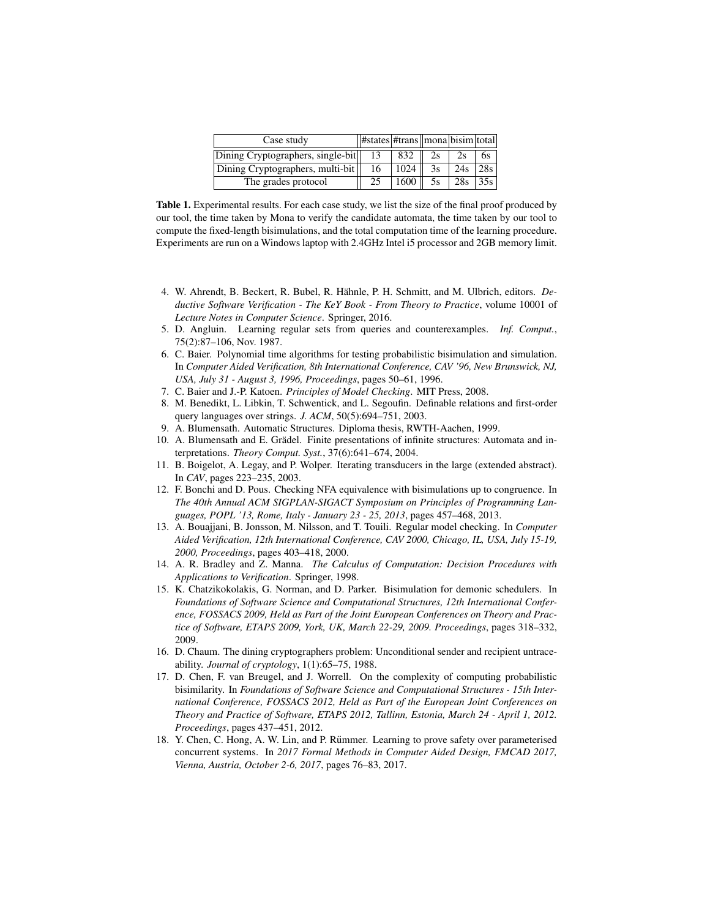| Case study                        | $  #states #trans  $ mona bisim total |      |    |     |     |
|-----------------------------------|---------------------------------------|------|----|-----|-----|
| Dining Cryptographers, single-bit | 13                                    | 832  | 2s | 2s  | 6s  |
| Dining Cryptographers, multi-bit  | 16                                    | 1024 | 3s | 24s | 28s |
| The grades protocol               | 25                                    | 1600 | 5s | 28s |     |

Table 1. Experimental results. For each case study, we list the size of the final proof produced by our tool, the time taken by Mona to verify the candidate automata, the time taken by our tool to compute the fixed-length bisimulations, and the total computation time of the learning procedure. Experiments are run on a Windows laptop with 2.4GHz Intel i5 processor and 2GB memory limit.

- 4. W. Ahrendt, B. Beckert, R. Bubel, R. Hahnle, P. H. Schmitt, and M. Ulbrich, editors. ¨ *Deductive Software Verification - The KeY Book - From Theory to Practice*, volume 10001 of *Lecture Notes in Computer Science*. Springer, 2016.
- 5. D. Angluin. Learning regular sets from queries and counterexamples. *Inf. Comput.*, 75(2):87–106, Nov. 1987.
- 6. C. Baier. Polynomial time algorithms for testing probabilistic bisimulation and simulation. In *Computer Aided Verification, 8th International Conference, CAV '96, New Brunswick, NJ, USA, July 31 - August 3, 1996, Proceedings*, pages 50–61, 1996.
- 7. C. Baier and J.-P. Katoen. *Principles of Model Checking*. MIT Press, 2008.
- 8. M. Benedikt, L. Libkin, T. Schwentick, and L. Segoufin. Definable relations and first-order query languages over strings. *J. ACM*, 50(5):694–751, 2003.
- 9. A. Blumensath. Automatic Structures. Diploma thesis, RWTH-Aachen, 1999.
- 10. A. Blumensath and E. Grädel. Finite presentations of infinite structures: Automata and interpretations. *Theory Comput. Syst.*, 37(6):641–674, 2004.
- 11. B. Boigelot, A. Legay, and P. Wolper. Iterating transducers in the large (extended abstract). In *CAV*, pages 223–235, 2003.
- 12. F. Bonchi and D. Pous. Checking NFA equivalence with bisimulations up to congruence. In *The 40th Annual ACM SIGPLAN-SIGACT Symposium on Principles of Programming Languages, POPL '13, Rome, Italy - January 23 - 25, 2013*, pages 457–468, 2013.
- 13. A. Bouajjani, B. Jonsson, M. Nilsson, and T. Touili. Regular model checking. In *Computer Aided Verification, 12th International Conference, CAV 2000, Chicago, IL, USA, July 15-19, 2000, Proceedings*, pages 403–418, 2000.
- 14. A. R. Bradley and Z. Manna. *The Calculus of Computation: Decision Procedures with Applications to Verification*. Springer, 1998.
- 15. K. Chatzikokolakis, G. Norman, and D. Parker. Bisimulation for demonic schedulers. In *Foundations of Software Science and Computational Structures, 12th International Conference, FOSSACS 2009, Held as Part of the Joint European Conferences on Theory and Practice of Software, ETAPS 2009, York, UK, March 22-29, 2009. Proceedings*, pages 318–332, 2009.
- 16. D. Chaum. The dining cryptographers problem: Unconditional sender and recipient untraceability. *Journal of cryptology*, 1(1):65–75, 1988.
- 17. D. Chen, F. van Breugel, and J. Worrell. On the complexity of computing probabilistic bisimilarity. In *Foundations of Software Science and Computational Structures - 15th International Conference, FOSSACS 2012, Held as Part of the European Joint Conferences on Theory and Practice of Software, ETAPS 2012, Tallinn, Estonia, March 24 - April 1, 2012. Proceedings*, pages 437–451, 2012.
- 18. Y. Chen, C. Hong, A. W. Lin, and P. Rümmer. Learning to prove safety over parameterised concurrent systems. In *2017 Formal Methods in Computer Aided Design, FMCAD 2017, Vienna, Austria, October 2-6, 2017*, pages 76–83, 2017.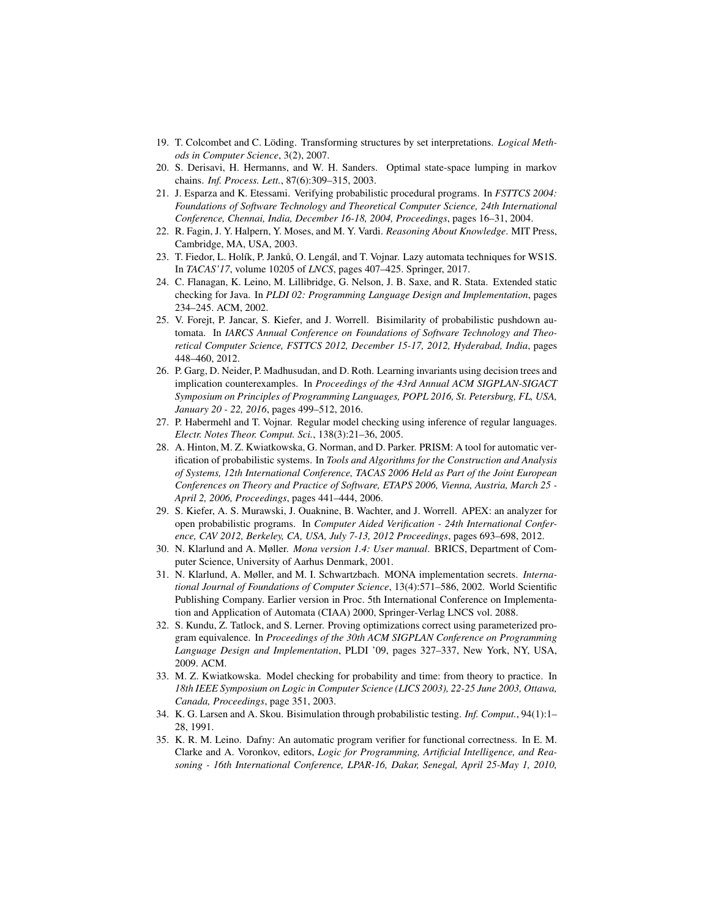- 19. T. Colcombet and C. Löding. Transforming structures by set interpretations. *Logical Methods in Computer Science*, 3(2), 2007.
- 20. S. Derisavi, H. Hermanns, and W. H. Sanders. Optimal state-space lumping in markov chains. *Inf. Process. Lett.*, 87(6):309–315, 2003.
- 21. J. Esparza and K. Etessami. Verifying probabilistic procedural programs. In *FSTTCS 2004: Foundations of Software Technology and Theoretical Computer Science, 24th International Conference, Chennai, India, December 16-18, 2004, Proceedings*, pages 16–31, 2004.
- 22. R. Fagin, J. Y. Halpern, Y. Moses, and M. Y. Vardi. *Reasoning About Knowledge*. MIT Press, Cambridge, MA, USA, 2003.
- 23. T. Fiedor, L. Holík, P. Janků, O. Lengál, and T. Vojnar. Lazy automata techniques for WS1S. In *TACAS'17*, volume 10205 of *LNCS*, pages 407–425. Springer, 2017.
- 24. C. Flanagan, K. Leino, M. Lillibridge, G. Nelson, J. B. Saxe, and R. Stata. Extended static checking for Java. In *PLDI 02: Programming Language Design and Implementation*, pages 234–245. ACM, 2002.
- 25. V. Forejt, P. Jancar, S. Kiefer, and J. Worrell. Bisimilarity of probabilistic pushdown automata. In *IARCS Annual Conference on Foundations of Software Technology and Theoretical Computer Science, FSTTCS 2012, December 15-17, 2012, Hyderabad, India*, pages 448–460, 2012.
- 26. P. Garg, D. Neider, P. Madhusudan, and D. Roth. Learning invariants using decision trees and implication counterexamples. In *Proceedings of the 43rd Annual ACM SIGPLAN-SIGACT Symposium on Principles of Programming Languages, POPL 2016, St. Petersburg, FL, USA, January 20 - 22, 2016*, pages 499–512, 2016.
- 27. P. Habermehl and T. Vojnar. Regular model checking using inference of regular languages. *Electr. Notes Theor. Comput. Sci.*, 138(3):21–36, 2005.
- 28. A. Hinton, M. Z. Kwiatkowska, G. Norman, and D. Parker. PRISM: A tool for automatic verification of probabilistic systems. In *Tools and Algorithms for the Construction and Analysis of Systems, 12th International Conference, TACAS 2006 Held as Part of the Joint European Conferences on Theory and Practice of Software, ETAPS 2006, Vienna, Austria, March 25 - April 2, 2006, Proceedings*, pages 441–444, 2006.
- 29. S. Kiefer, A. S. Murawski, J. Ouaknine, B. Wachter, and J. Worrell. APEX: an analyzer for open probabilistic programs. In *Computer Aided Verification - 24th International Conference, CAV 2012, Berkeley, CA, USA, July 7-13, 2012 Proceedings*, pages 693–698, 2012.
- 30. N. Klarlund and A. Møller. *Mona version 1.4: User manual*. BRICS, Department of Computer Science, University of Aarhus Denmark, 2001.
- 31. N. Klarlund, A. Møller, and M. I. Schwartzbach. MONA implementation secrets. *International Journal of Foundations of Computer Science*, 13(4):571–586, 2002. World Scientific Publishing Company. Earlier version in Proc. 5th International Conference on Implementation and Application of Automata (CIAA) 2000, Springer-Verlag LNCS vol. 2088.
- 32. S. Kundu, Z. Tatlock, and S. Lerner. Proving optimizations correct using parameterized program equivalence. In *Proceedings of the 30th ACM SIGPLAN Conference on Programming Language Design and Implementation*, PLDI '09, pages 327–337, New York, NY, USA, 2009. ACM.
- 33. M. Z. Kwiatkowska. Model checking for probability and time: from theory to practice. In *18th IEEE Symposium on Logic in Computer Science (LICS 2003), 22-25 June 2003, Ottawa, Canada, Proceedings*, page 351, 2003.
- 34. K. G. Larsen and A. Skou. Bisimulation through probabilistic testing. *Inf. Comput.*, 94(1):1– 28, 1991.
- 35. K. R. M. Leino. Dafny: An automatic program verifier for functional correctness. In E. M. Clarke and A. Voronkov, editors, *Logic for Programming, Artificial Intelligence, and Reasoning - 16th International Conference, LPAR-16, Dakar, Senegal, April 25-May 1, 2010,*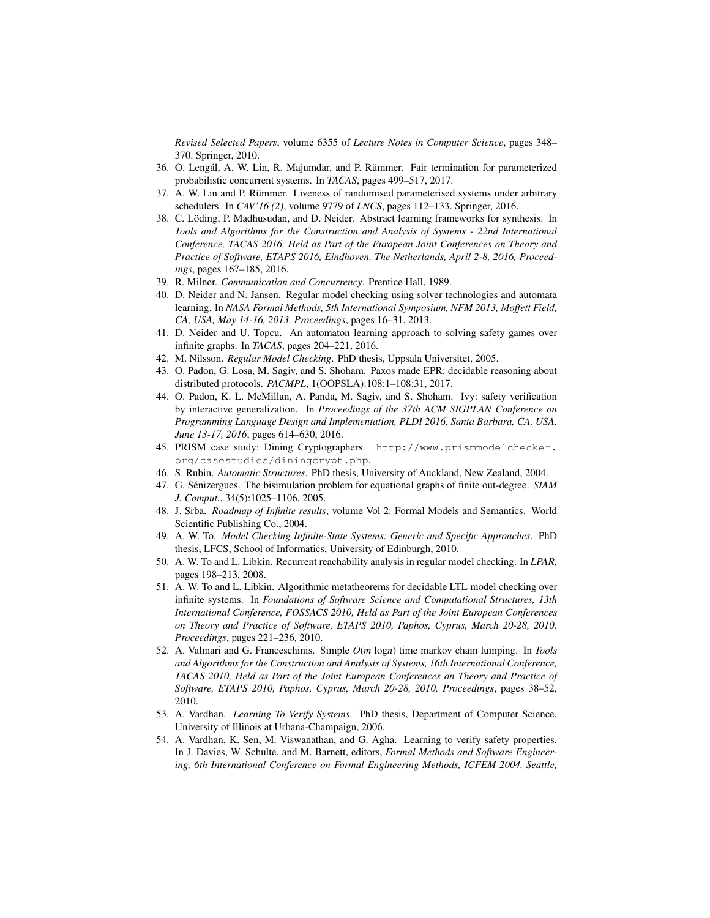*Revised Selected Papers*, volume 6355 of *Lecture Notes in Computer Science*, pages 348– 370. Springer, 2010.

- 36. O. Lengál, A. W. Lin, R. Majumdar, and P. Rümmer. Fair termination for parameterized probabilistic concurrent systems. In *TACAS*, pages 499–517, 2017.
- 37. A. W. Lin and P. Rummer. Liveness of randomised parameterised systems under arbitrary ¨ schedulers. In *CAV'16 (2)*, volume 9779 of *LNCS*, pages 112–133. Springer, 2016.
- 38. C. Löding, P. Madhusudan, and D. Neider. Abstract learning frameworks for synthesis. In *Tools and Algorithms for the Construction and Analysis of Systems - 22nd International Conference, TACAS 2016, Held as Part of the European Joint Conferences on Theory and Practice of Software, ETAPS 2016, Eindhoven, The Netherlands, April 2-8, 2016, Proceedings*, pages 167–185, 2016.
- 39. R. Milner. *Communication and Concurrency*. Prentice Hall, 1989.
- 40. D. Neider and N. Jansen. Regular model checking using solver technologies and automata learning. In *NASA Formal Methods, 5th International Symposium, NFM 2013, Moffett Field, CA, USA, May 14-16, 2013. Proceedings*, pages 16–31, 2013.
- 41. D. Neider and U. Topcu. An automaton learning approach to solving safety games over infinite graphs. In *TACAS*, pages 204–221, 2016.
- 42. M. Nilsson. *Regular Model Checking*. PhD thesis, Uppsala Universitet, 2005.
- 43. O. Padon, G. Losa, M. Sagiv, and S. Shoham. Paxos made EPR: decidable reasoning about distributed protocols. *PACMPL*, 1(OOPSLA):108:1–108:31, 2017.
- 44. O. Padon, K. L. McMillan, A. Panda, M. Sagiv, and S. Shoham. Ivy: safety verification by interactive generalization. In *Proceedings of the 37th ACM SIGPLAN Conference on Programming Language Design and Implementation, PLDI 2016, Santa Barbara, CA, USA, June 13-17, 2016*, pages 614–630, 2016.
- 45. PRISM case study: Dining Cryptographers. http://www.prismmodelchecker. org/casestudies/diningcrypt.php.
- 46. S. Rubin. *Automatic Structures*. PhD thesis, University of Auckland, New Zealand, 2004.
- 47. G. Senizergues. The bisimulation problem for equational graphs of finite out-degree. ´ *SIAM J. Comput.*, 34(5):1025–1106, 2005.
- 48. J. Srba. *Roadmap of Infinite results*, volume Vol 2: Formal Models and Semantics. World Scientific Publishing Co., 2004.
- 49. A. W. To. *Model Checking Infinite-State Systems: Generic and Specific Approaches*. PhD thesis, LFCS, School of Informatics, University of Edinburgh, 2010.
- 50. A. W. To and L. Libkin. Recurrent reachability analysis in regular model checking. In *LPAR*, pages 198–213, 2008.
- 51. A. W. To and L. Libkin. Algorithmic metatheorems for decidable LTL model checking over infinite systems. In *Foundations of Software Science and Computational Structures, 13th International Conference, FOSSACS 2010, Held as Part of the Joint European Conferences on Theory and Practice of Software, ETAPS 2010, Paphos, Cyprus, March 20-28, 2010. Proceedings*, pages 221–236, 2010.
- 52. A. Valmari and G. Franceschinis. Simple *O*(*m* log*n*) time markov chain lumping. In *Tools and Algorithms for the Construction and Analysis of Systems, 16th International Conference, TACAS 2010, Held as Part of the Joint European Conferences on Theory and Practice of Software, ETAPS 2010, Paphos, Cyprus, March 20-28, 2010. Proceedings*, pages 38–52, 2010.
- 53. A. Vardhan. *Learning To Verify Systems*. PhD thesis, Department of Computer Science, University of Illinois at Urbana-Champaign, 2006.
- 54. A. Vardhan, K. Sen, M. Viswanathan, and G. Agha. Learning to verify safety properties. In J. Davies, W. Schulte, and M. Barnett, editors, *Formal Methods and Software Engineering, 6th International Conference on Formal Engineering Methods, ICFEM 2004, Seattle,*